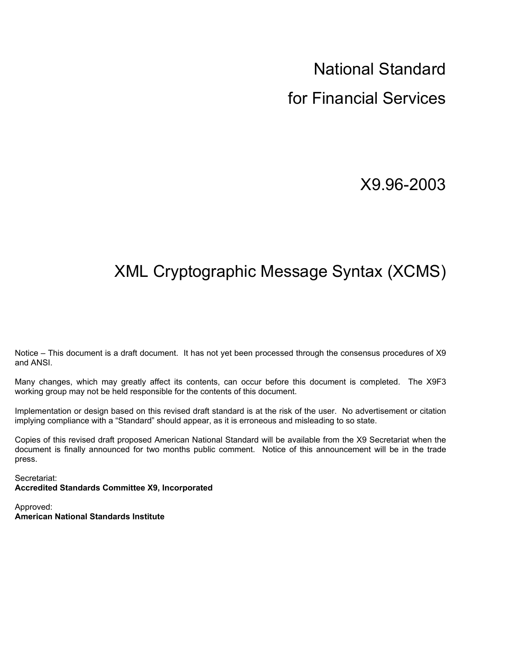National Standard

# for Financial Services

X9.96-2003

# XML Cryptographic Message Syntax (XCMS)

Notice – This document is a draft document. It has not yet been processed through the consensus procedures of X9 and ANSI.

Many changes, which may greatly affect its contents, can occur before this document is completed. The X9F3 working group may not be held responsible for the contents of this document.

Implementation or design based on this revised draft standard is at the risk of the user. No advertisement or citation implying compliance with a "Standard" should appear, as it is erroneous and misleading to so state.

Copies of this revised draft proposed American National Standard will be available from the X9 Secretariat when the document is finally announced for two months public comment. Notice of this announcement will be in the trade press.

Secretariat: **Accredited Standards Committee X9, Incorporated** 

Approved: **American National Standards Institute**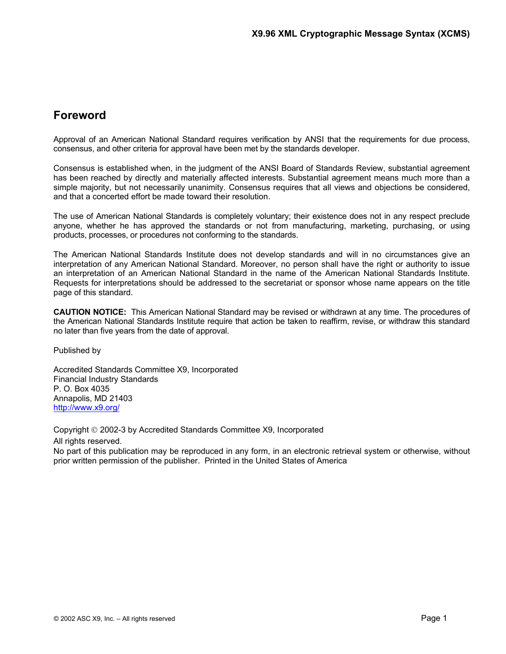# <span id="page-2-0"></span>**Foreword**

Approval of an American National Standard requires verification by ANSI that the requirements for due process, consensus, and other criteria for approval have been met by the standards developer.

Consensus is established when, in the judgment of the ANSI Board of Standards Review, substantial agreement has been reached by directly and materially affected interests. Substantial agreement means much more than a simple majority, but not necessarily unanimity. Consensus requires that all views and objections be considered, and that a concerted effort be made toward their resolution.

The use of American National Standards is completely voluntary; their existence does not in any respect preclude anyone, whether he has approved the standards or not from manufacturing, marketing, purchasing, or using products, processes, or procedures not conforming to the standards.

The American National Standards Institute does not develop standards and will in no circumstances give an interpretation of any American National Standard. Moreover, no person shall have the right or authority to issue an interpretation of an American National Standard in the name of the American National Standards Institute. Requests for interpretations should be addressed to the secretariat or sponsor whose name appears on the title page of this standard.

**CAUTION NOTICE:** This American National Standard may be revised or withdrawn at any time. The procedures of the American National Standards Institute require that action be taken to reaffirm, revise, or withdraw this standard no later than five years from the date of approval.

Published by

Accredited Standards Committee X9, Incorporated Financial Industry Standards P. O. Box 4035 Annapolis, MD 21403 <http://www.x9.org/>

Copyright 2002-3 by Accredited Standards Committee X9, Incorporated All rights reserved.

No part of this publication may be reproduced in any form, in an electronic retrieval system or otherwise, without prior written permission of the publisher. Printed in the United States of America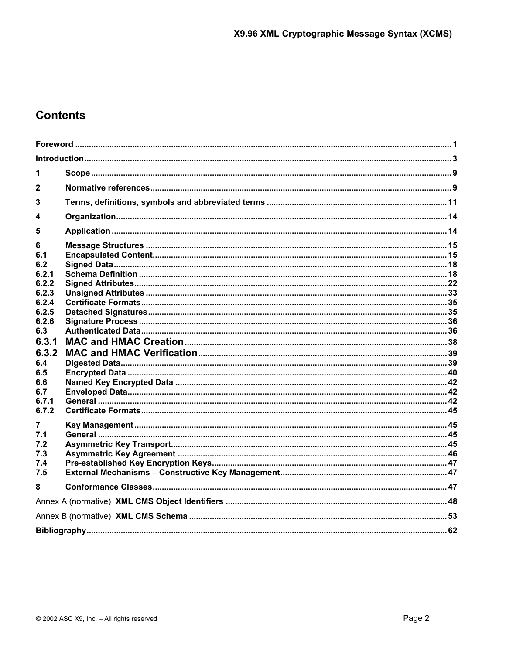# **Contents**

| 1              |  |  |  |  |
|----------------|--|--|--|--|
| $\mathbf{2}$   |  |  |  |  |
| 3              |  |  |  |  |
| 4              |  |  |  |  |
| 5              |  |  |  |  |
| 6              |  |  |  |  |
| 6.1            |  |  |  |  |
| 6.2            |  |  |  |  |
| 6.2.1          |  |  |  |  |
| 6.2.2          |  |  |  |  |
| 6.2.3          |  |  |  |  |
| 6.2.4<br>6.2.5 |  |  |  |  |
| 6.2.6          |  |  |  |  |
| 6.3            |  |  |  |  |
| 6.3.1          |  |  |  |  |
|                |  |  |  |  |
| 6.3.2          |  |  |  |  |
| 6.4            |  |  |  |  |
| 6.5            |  |  |  |  |
| 6.6<br>6.7     |  |  |  |  |
| 6.7.1          |  |  |  |  |
| 6.7.2          |  |  |  |  |
|                |  |  |  |  |
| 7              |  |  |  |  |
| 7.1            |  |  |  |  |
| 7.2            |  |  |  |  |
| 7.3<br>7.4     |  |  |  |  |
| 7.5            |  |  |  |  |
|                |  |  |  |  |
| 8              |  |  |  |  |
|                |  |  |  |  |
|                |  |  |  |  |
|                |  |  |  |  |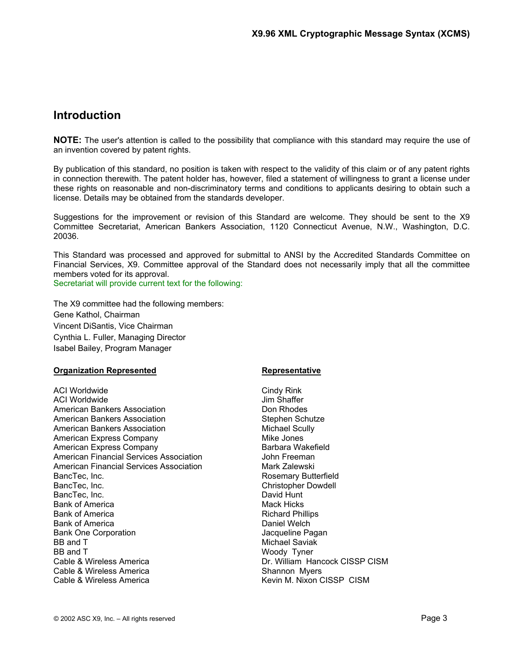# <span id="page-4-0"></span>**Introduction**

**NOTE:** The user's attention is called to the possibility that compliance with this standard may require the use of an invention covered by patent rights.

By publication of this standard, no position is taken with respect to the validity of this claim or of any patent rights in connection therewith. The patent holder has, however, filed a statement of willingness to grant a license under these rights on reasonable and non-discriminatory terms and conditions to applicants desiring to obtain such a license. Details may be obtained from the standards developer.

Suggestions for the improvement or revision of this Standard are welcome. They should be sent to the X9 Committee Secretariat, American Bankers Association, 1120 Connecticut Avenue, N.W., Washington, D.C. 20036.

This Standard was processed and approved for submittal to ANSI by the Accredited Standards Committee on Financial Services, X9. Committee approval of the Standard does not necessarily imply that all the committee members voted for its approval. Secretariat will provide current text for the following:

The X9 committee had the following members: Gene Kathol, Chairman Vincent DiSantis, Vice Chairman

Cynthia L. Fuller, Managing Director Isabel Bailey, Program Manager

### **Organization Represented**  Representative **Representative**

ACI Worldwide **Cindy Rink**<br>ACI Worldwide Cindy Rink ACI Worldwide ACI Worldwide<br>
American Bankers Association<br>
American Bankers Association<br>
On Rhodes American Bankers Association American Bankers Association Stephen Schutze American Bankers Association Michael Scully American Express Company Mike Jones American Express Company **Barbara Wakefield** American Financial Services Association and John Freeman American Financial Services Association Mark Zalewski BancTec, Inc. **BancTec, Inc.** Rosemary Butterfield BancTec, Inc. **Christopher Dowdell** BancTec, Inc. **David Hunt** Bank of America and the Mack Hicks of America and the Mack Hicks of America Mack Hicks and Mack Hicks and Mack<br>Mack Hicks and Mack Hicks and Mack Hicks and Mack Hicks and Mack Hicks and Mack Hicks and Mack Hicks and Mack Bank of America **Daniel Welch** Bank One Corporation **Bank One Corporation Jacqueline Pagan** BB and T Michael Saviak BB and T Woody Tyner Cable & Wireless America **DR. America** Dr. William Hancock CISSP CISM Cable & Wireless America Shannon Myers Cable & Wireless America New York Cable Books America New York M. Nixon CISSP CISM

**Richard Phillips**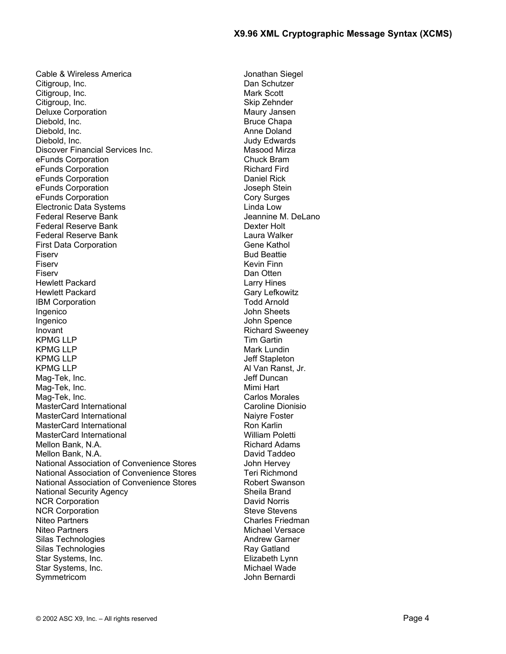Cable & Wireless America **Cable & Wireless America** Jonathan Siegel Citigroup, Inc. **Dan Schutzer** Citigroup, Inc. **Mark Scott** Citigroup, Inc. **Skip Zehnder** Skip Zehnder Deluxe Corporation and the Corporation of the Maury Jansen<br>Diebold. Inc. Note that the Maury Jansen and Diebold. Inc. Diebold, Inc. **Anne Doland Contract Contract Contract Contract Contract Contract Contract Contract Contract Contract Contract Contract Contract Contract Contract Contract Contract Contract Contract Contract Contract Cont** Diebold, Inc.<br>
Discover Financial Services Inc.<br>
Discover Financial Services Inc.<br>
1990 - Masood Mirza Discover Financial Services Inc. eFunds Corporation **Chuck Bram** eFunds Corporation **Richard Fird** eFunds Corporation **Daniel Rick** eFunds Corporation and a settlement of the United Stein Joseph Stein eFunds Corporation **Corporation** Cory Surges Electronic Data Systems Linda Low Federal Reserve Bank **Internal Accord Contract Contract Contract Contract Contract Contract Contract Contract Contract Contract Contract Contract Contract Contract Contract Contract Contract Contract Contract Contract Cont** Federal Reserve Bank Dexter Holt Federal Reserve Bank Laura Walker First Data Corporation Gene Kathol Fiserv **Bud Beattie** Fiserv **Kevin Finn** Fiserv Dan Otten Hewlett Packard **Larry Hines** Hewlett Packard Gary Lefkowitz<br>
IBM Corporation Gary Lefkowitz<br>
Todd Arnold IBM Corporation Ingenico John Sheets Ingenico **International Executive Contract Contract Contract Contract Contract Contract Contract Contract Contract Contract Contract Contract Contract Contract Contract Contract Contract Contract Contract Contract Contract** Inovant **Richard Sweeney** KPMG LLP<br>
KPMG LLP<br>
KPMG LLP KPMG LLP<br>
KPMG LLP<br>
KPMG LLP KPMG LLP Al Van Ranst, Jr. Mag-Tek, Inc. Jeff Duncan Mag-Tek, Inc. Mag-Tek, Inc. **Carlos Morales** MasterCard International Caroline Dionisio MasterCard International Naivre Foster MasterCard International **Ron Karlin** Ron Karlin MasterCard International National Melliam Poletti<br>Mellon Bank. N.A. National Mellon Bank N.A. Richard Adams Mellon Bank, N.A. Mellon Bank, N.A.<br>
National Association of Convenience Stores
<br>
John Hervey National Association of Convenience Stores National Association of Convenience Stores Teri Richmond National Association of Convenience Stores<br>
National Security Agency<br>
Sheila Brand National Security Agency NCR Corporation **David Norris** David Norris NCR Corporation and the state of the Stevens Steve Stevens Stevens Stevens Stevens Stevens Stevens Stevens Stevens Stevens Stevens Stevens Stevens Stevens Stevens Stevens Stevens Stevens Stevens Stevens Stevens Stevens Ste Niteo Partners and Communication of the Michael Versace Michael Versace Silas Technologies **Andrew Garner** Andrew Garner Silas Technologies **Ray Gatland** Star Systems, Inc. **Elizabeth Lynn** Star Systems, Inc. **Michael Wade** Symmetricom John Bernardi

Bruce Chapa Jeff Stapleton Charles Friedman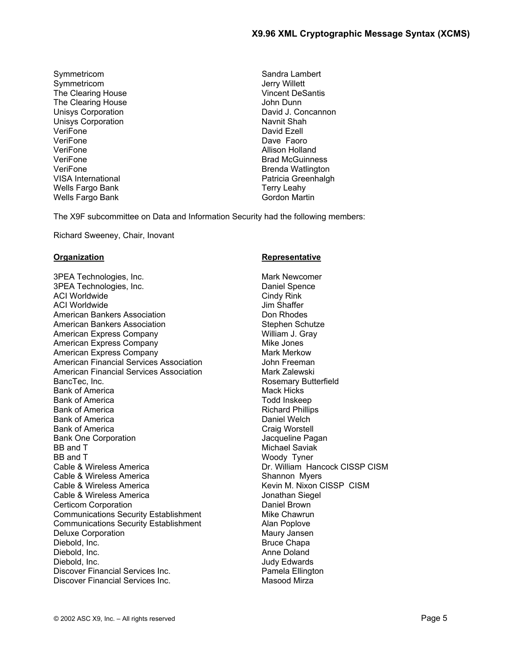- Symmetricom Sandra Lambert Symmetricom Jerry Willett The Clearing House The Clearing House The Clearing House Vincent DeSantis The Clearing House **John Dunn** Unisys Corporation Navnit Shah VeriFone **David Exell** VeriFone **Dave Faoro** VeriFone **Allison** Holland VeriFone **Brad McGuinness** VeriFone **Brenda Watlington**<br>
VISA International Company States and Department Patricia Greenhaldr Wells Fargo Bank Terry Leahy Wells Fargo Bank Gordon Martin
- Unisys Corporation **David J. Concannon** Patricia Greenhalgh

The X9F subcommittee on Data and Information Security had the following members:

Richard Sweeney, Chair, Inovant

3PEA Technologies, Inc. Mark Newcomer 3PEA Technologies, Inc. Daniel Spence ACI Worldwide ACI Worldwide **ACI** Worldwide American Bankers Association **Don Rhodes** American Bankers Association Stephen Schutze American Express Company Milliam J. Gray American Express Company Mike Jones American Express Company Mark Merkow American Financial Services Association **Financial** Services Association American Financial Services Association Mark Zalewski BancTec, Inc. **BancTec, Inc.** Rosemary Butterfield Bank of America **Mack Hicks** Mack Hicks Bank of America **Todd Inskeep** Bank of America **Richard Phillips** Bank of America **Daniel Welch** Bank of America **Craig Worstell** Bank One Corporation **Constant Constant Constant Constant Constant Constant Constant Constant Constant Constant** BB and T Michael Saviak BB and T Woody Tyner Cable & Wireless America **DR. America** Dr. William Hancock CISSP CISM Cable & Wireless America Shannon Myers Cable & Wireless America **Kevin M. Nixon CISSP** CISM Cable & Wireless America Jonathan Siegel Certicom Corporation<br>
Communications Security Establishment<br>
Mike Chawrun Communications Security Establishment Communications Security Establishment **Alan Poplove** Deluxe Corporation and a series of the Maury Jansen Diebold, Inc. **Bruce Chapa** Diebold, Inc. **Anne Doland Contract Contract Contract Contract Contract Contract Contract Contract Contract Contract Contract Contract Contract Contract Contract Contract Contract Contract Contract Contract Contract Cont** Diebold, Inc. **Diebold, Inc. Judy Edwards** Discover Financial Services Inc. Pamela Ellington Discover Financial Services Inc. Masood Mirza

### **Organization Representative Representative**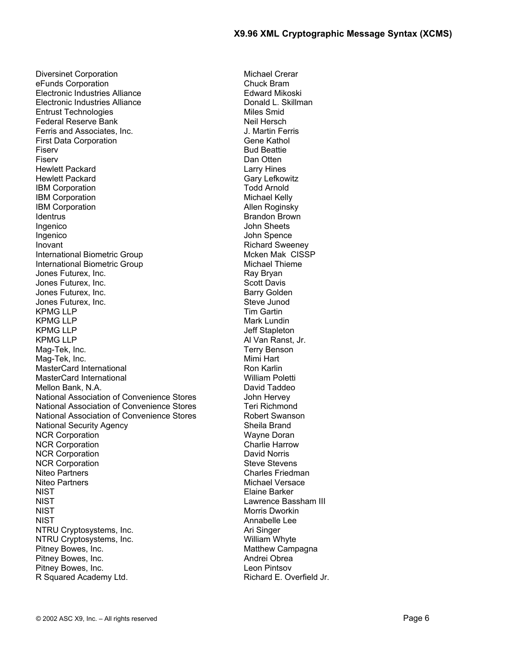Diversinet Corporation **Michael Crear** eFunds Corporation **Chuck Bram** Electronic Industries Alliance Edward Mikoski Electronic Industries Alliance Donald L. Skillman Entrust Technologies **Miles Smid** Miles Smid Federal Reserve Bank Neil Hersch Ferris and Associates, Inc. **Ferris** 3. Martin Ferris First Data Corporation Gene Kathol Fiserv **Bud Beattie** Fiserv Dan Otten Hewlett Packard **Larry Hines** Hewlett Packard **Gary Lefkowitz IBM Corporation IBM** Corporation IBM Corporation **Michael Kelly** Michael Kelly **IBM Corporation Allen Roginsky Identrus Brandon Brown** Ingenico **International Sheets** John Sheets Ingenico **International Executive Contract Contract Contract Contract Contract Contract Contract Contract Contract Contract Contract Contract Contract Contract Contract Contract Contract Contract Contract Contract Contract** Inovant **Incovered Accord Sweeney** Richard Sweeney International Biometric Group Mcken Mak CISSP International Biometric Group Michael Thieme Jones Futurex, Inc. **Ray Bryan** Jones Futurex, Inc. **Scott Davis** Scott Davis Jones Futurex, Inc. **Barry Golden** Barry Golden Jones Futurex, Inc. **Steve Junod** Steve Junod KPMG LLP **Tim Gartin** KPMG LLP Mark Lundin KPMG LLP Jeff Stapleton KPMG LLP Al Van Ranst, Jr. Mag-Tek, Inc. Terry Benson Mag-Tek, Inc. MasterCard International New York Channel Ron Karlin<br>MasterCard International Ronal Roletti New York William Poletti MasterCard International Milliam Poletti Nellon Bank. N.A.<br>Mellon Bank. N.A. William Poletti Nellon Bank. N.A. Mellon Bank, N.A. National Association of Convenience Stores and John Hervey<br>
National Association of Convenience Stores Teri Richmond National Association of Convenience Stores National Association of Convenience Stores **Robert Swanson** National Security Agency National Security Agency NCR Corporation NCR Corporation NCR Corporation **Charlie Harrow** Charlie Harrow NCR Corporation and the community of the David Norris David Norris<br>
NCR Corporation and the Corporation of the Corporation of the Corporation of the Corporation of the Corporatio NCR Corporation<br>Niteo Partners Niteo Partners and the Control of the Michael Versace Michael Versace NIST and the Michael Versace NIST and the Michael Versace NIST and the Michael Versace NIST and the Michael Versace NIST and the Michael Versace NIST an NIST Lawrence Bassham III NIST Morris Dworkin NIST CONSULTER Annabelle Lee NTRU Cryptosystems, Inc. **Ari Singer** Ari Singer NTRU Cryptosystems, Inc. No. 2006 and Milliam Whyte Pitney Bowes, Inc. **Matthew Campagna** Pitney Bowes, Inc. **Andrei Obrea Andrei Obrea** Pitney Bowes, Inc. (2008) Primey Bowes, Inc. (2008) Pintsov Leon Pintsov<br>
R Squared Academy Ltd. (2008) Richard E. Overfield Jr. R Squared Academy Ltd.

Charles Friedman Elaine Barker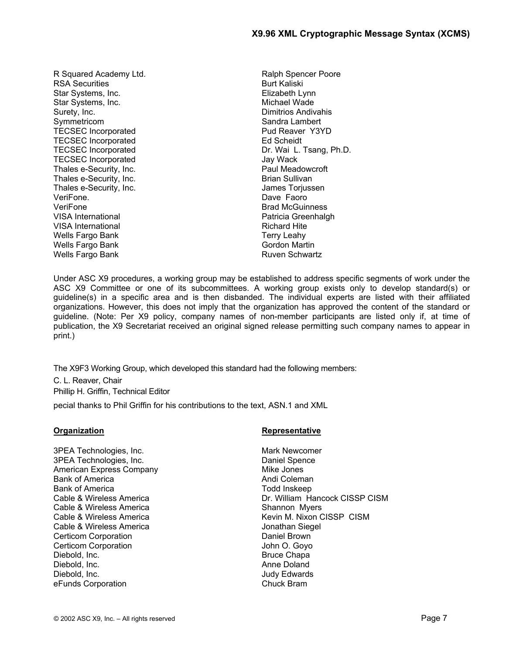R Squared Academy Ltd. **Ralph Spencer Poore** RSA Securities **Burt Kaliski** Burt Kaliski Star Systems, Inc. Elizabeth Lynn Star Systems, Inc. **Michael Wade** Surety, Inc. **Dimitrios Andivahis** Symmetricom Sandra Lambert TECSEC Incorporated **Pud Reaver Y3YD** TECSEC Incorporated Ed Scheidt TECSEC Incorporated **Dr. Wai L. Tsang, Ph.D.** TECSEC Incorporated **Jay Wack** Thales e-Security, Inc. **Paul Meadowcroft** Thales e-Security, Inc. **Brian Sullivan** Brian Sullivan Thales e-Security, Inc. James Torjussen VeriFone. Dave Faoro VeriFone **Brad McGuinness** VISA International **Patricia Greenhalgh** Patricia Greenhalgh VISA International **Richard Hite** Richard Hite Wells Fargo Bank Terry Leahy Wells Fargo Bank Gordon Martin Wells Fargo Bank **Ruven Schwartz** Ruven Schwartz

Under ASC X9 procedures, a working group may be established to address specific segments of work under the ASC X9 Committee or one of its subcommittees. A working group exists only to develop standard(s) or guideline(s) in a specific area and is then disbanded. The individual experts are listed with their affiliated organizations. However, this does not imply that the organization has approved the content of the standard or guideline. (Note: Per X9 policy, company names of non-member participants are listed only if, at time of publication, the X9 Secretariat received an original signed release permitting such company names to appear in print.)

The X9F3 Working Group, which developed this standard had the following members: C. L. Reaver, Chair Phillip H. Griffin, Technical Editor pecial thanks to Phil Griffin for his contributions to the text, ASN.1 and XML

3PEA Technologies, Inc. Mark Newcomer 3PEA Technologies, Inc. **Daniel Spence** Daniel Spence American Express Company Mike Jones Bank of America **Andi Coleman** Bank of America Todd Inskeep Cable & Wireless America Shannon Myers Cable & Wireless America Certicom Corporation **Daniel Brown** Certicom Corporation **Community** Certicom Corporation **John O. Goyo** Diebold, Inc. **Bruce Chapa** Diebold, Inc. Anne Doland Diebold, Inc. **Diebold, Inc. Judy Edwards** eFunds Corporation **Chuck Bram** 

### **Organization Representative**

Cable & Wireless America **DR. America** Dr. William Hancock CISSP CISM Cable & Wireless America<br>
Cable & Wireless America<br>
Cable & Wireless America<br>
Cable & Wireless America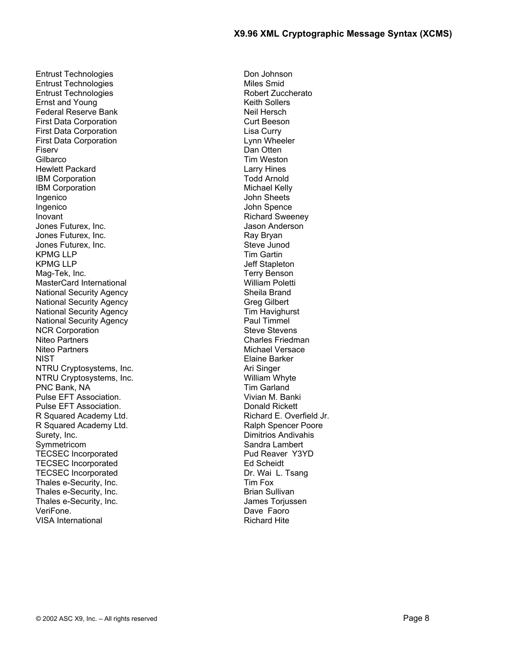Entrust Technologies **Don** Johnson Entrust Technologies and the Miles Smid Miles Smid<br>Entrust Technologies Miles Smid Miles Smid Robert Zuccherato Entrust Technologies **Ernst and Young Keith Sollers** Keith Sollers Federal Reserve Bank Neil Hersch First Data Corporation **Current Current Current Current Current Current Current Current Current Current Current Current Current Current Current Current Current Current Current Current Current Current Current Current Curren** First Data Corporation **Lisa Curry** First Data Corporation **Lynn** Wheeler Fiserv **Dan Otten** Gilbarco **Tim Weston** Hewlett Packard **Larry Hines IBM Corporation** Todd Arnold IBM Corporation **Michael Kelly** Ingenico **International Executive Contract Contract Contract Contract Contract Contract Contract Contract Contract Contract Contract Contract Contract Contract Contract Contract Contract Contract Contract Contract Contract** Ingenico **International Executive Contract Contract Contract Contract Contract Contract Contract Contract Contract Contract Contract Contract Contract Contract Contract Contract Contract Contract Contract Contract Contract** Inovant **Richard Sweeney** Jones Futurex, Inc. **Jones Futurex**, Inc. Jones Futurex, Inc. Ray Bryan Jones Futurex, Inc. KPMG LLP Tim Gartin KPMG LLP Jeff Stapleton Mag-Tek, Inc. Terry Benson MasterCard International William Poletti National Security Agency National Security Agency National Security Agency Greg Gilbert National Security Agency National Security Agency National Security Agency **Paul Timmel** NCR Corporation and the state Stevens Steve Stevens Niteo Partners Charles Friedman NIST Elaine Barker NTRU Cryptosystems, Inc. Ari Singer NTRU Cryptosystems, Inc. The Milliam Whyte William Whyte William Whyte PNC Bank. NA PNC Bank, NA Pulse EFT Association. Vivian M. Banki Pulse EFT Association. **Donald Rickett** R Squared Academy Ltd. **Richard E. Overfield Jr.** Richard E. Overfield Jr. R Squared Academy Ltd. **Ralph Spencer Poore** Surety, Inc. **Dimitrios Andivahis** Symmetricom Sandra Lambert<br>
TECSEC Incorporated TECSEC Incorporated TECSEC Incorporated SAND TECSEC Incorporated TECSEC Incorporated Pud Reaver Pud Reaver Pud Reaver Pud Reaver Pud Reaver Published Scheidt<br>TECSEC Incorporated Published Readers Assembly Readers Readers Assembly Readers Readers Assembly Readers Asse TECSEC Incorporated TECSEC Incorporated Dr. Wai L. Tsang Thales e-Security, Inc.<br>
Thales e-Security, Inc.<br>
Thales e-Security, Inc.<br>
Thales e-Security, Inc. Thales e-Security, Inc. Thales e-Security, Inc. Thales e-Security, Inc. VeriFone. Dave Faoro VISA International **Richard Hite** Richard Hite

Michael Versace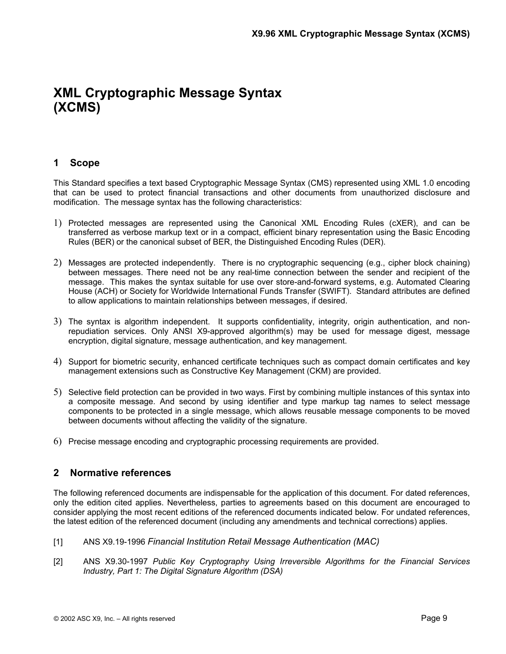# <span id="page-10-0"></span>**XML Cryptographic Message Syntax (XCMS)**

# **1 Scope**

This Standard specifies a text based Cryptographic Message Syntax (CMS) represented using XML 1.0 encoding that can be used to protect financial transactions and other documents from unauthorized disclosure and modification. The message syntax has the following characteristics:

- 1) Protected messages are represented using the Canonical XML Encoding Rules (cXER), and can be transferred as verbose markup text or in a compact, efficient binary representation using the Basic Encoding Rules (BER) or the canonical subset of BER, the Distinguished Encoding Rules (DER).
- 2) Messages are protected independently. There is no cryptographic sequencing (e.g., cipher block chaining) between messages. There need not be any real-time connection between the sender and recipient of the message. This makes the syntax suitable for use over store-and-forward systems, e.g. Automated Clearing House (ACH) or Society for Worldwide International Funds Transfer (SWIFT). Standard attributes are defined to allow applications to maintain relationships between messages, if desired.
- 3) The syntax is algorithm independent. It supports confidentiality, integrity, origin authentication, and nonrepudiation services. Only ANSI X9-approved algorithm(s) may be used for message digest, message encryption, digital signature, message authentication, and key management.
- 4) Support for biometric security, enhanced certificate techniques such as compact domain certificates and key management extensions such as Constructive Key Management (CKM) are provided.
- 5) Selective field protection can be provided in two ways. First by combining multiple instances of this syntax into a composite message. And second by using identifier and type markup tag names to select message components to be protected in a single message, which allows reusable message components to be moved between documents without affecting the validity of the signature.
- 6) Precise message encoding and cryptographic processing requirements are provided.

# **2 Normative references**

The following referenced documents are indispensable for the application of this document. For dated references, only the edition cited applies. Nevertheless, parties to agreements based on this document are encouraged to consider applying the most recent editions of the referenced documents indicated below. For undated references, the latest edition of the referenced document (including any amendments and technical corrections) applies.

- [1] ANS X9.19-1996 *Financial Institution Retail Message Authentication (MAC)*
- [2] ANS X9.30-1997 *Public Key Cryptography Using Irreversible Algorithms for the Financial Services Industry, Part 1: The Digital Signature Algorithm (DSA)*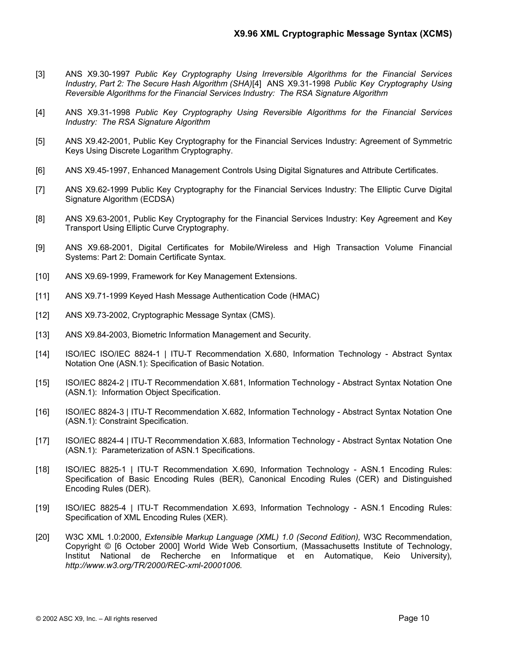- [3] ANS X9.30-1997 *Public Key Cryptography Using Irreversible Algorithms for the Financial Services Industry, Part 2: The Secure Hash Algorithm (SHA)*[4] ANS X9.31-1998 *Public Key Cryptography Using Reversible Algorithms for the Financial Services Industry: The RSA Signature Algorithm*
- [4] ANS X9.31-1998 *Public Key Cryptography Using Reversible Algorithms for the Financial Services Industry: The RSA Signature Algorithm*
- [5] ANS X9.42-2001, Public Key Cryptography for the Financial Services Industry: Agreement of Symmetric Keys Using Discrete Logarithm Cryptography.
- [6] ANS X9.45-1997, Enhanced Management Controls Using Digital Signatures and Attribute Certificates.
- [7] ANS X9.62-1999 Public Key Cryptography for the Financial Services Industry: The Elliptic Curve Digital Signature Algorithm (ECDSA)
- [8] ANS X9.63-2001, Public Key Cryptography for the Financial Services Industry: Key Agreement and Key Transport Using Elliptic Curve Cryptography.
- [9] ANS X9.68-2001, Digital Certificates for Mobile/Wireless and High Transaction Volume Financial Systems: Part 2: Domain Certificate Syntax.
- [10] ANS X9.69-1999, Framework for Key Management Extensions.
- [11] ANS X9.71-1999 Keyed Hash Message Authentication Code (HMAC)
- [12] ANS X9.73-2002, Cryptographic Message Syntax (CMS).
- [13] ANS X9.84-2003, Biometric Information Management and Security.
- [14] ISO/IEC ISO/IEC 8824-1 | ITU-T Recommendation X.680, Information Technology Abstract Syntax Notation One (ASN.1): Specification of Basic Notation.
- [15] ISO/IEC 8824-2 | ITU-T Recommendation X.681, Information Technology Abstract Syntax Notation One (ASN.1): Information Object Specification.
- [16] ISO/IEC 8824-3 | ITU-T Recommendation X.682, Information Technology Abstract Syntax Notation One (ASN.1): Constraint Specification.
- [17] ISO/IEC 8824-4 | ITU-T Recommendation X.683, Information Technology Abstract Syntax Notation One (ASN.1): Parameterization of ASN.1 Specifications.
- [18] ISO/IEC 8825-1 | ITU-T Recommendation X.690, Information Technology ASN.1 Encoding Rules: Specification of Basic Encoding Rules (BER), Canonical Encoding Rules (CER) and Distinguished Encoding Rules (DER).
- [19] ISO/IEC 8825-4 | ITU-T Recommendation X.693, Information Technology ASN.1 Encoding Rules: Specification of XML Encoding Rules (XER).
- [20] W3C XML 1.0:2000, *Extensible Markup Language (XML) 1.0 (Second Edition),* W3C Recommendation, Copyright © [6 October 2000] World Wide Web Consortium, (Massachusetts Institute of Technology, Institut National de Recherche en Informatique et en Automatique, Keio University)*, http://www.w3.org/TR/2000/REC-xml-20001006.*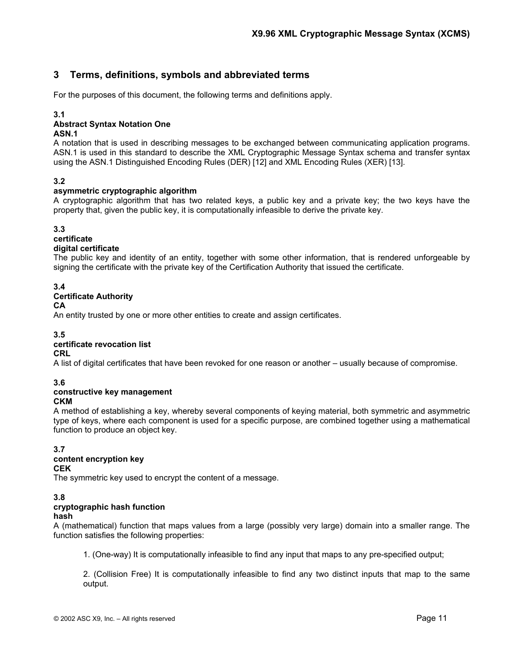# <span id="page-12-0"></span>**3 Terms, definitions, symbols and abbreviated terms**

For the purposes of this document, the following terms and definitions apply.

#### **3.1**

# **Abstract Syntax Notation One**

#### **ASN.1**

A notation that is used in describing messages to be exchanged between communicating application programs. ASN.1 is used in this standard to describe the XML Cryptographic Message Syntax schema and transfer syntax using the ASN.1 Distinguished Encoding Rules (DER) [12] and XML Encoding Rules (XER) [13].

### **3.2**

#### **asymmetric cryptographic algorithm**

A cryptographic algorithm that has two related keys, a public key and a private key; the two keys have the property that, given the public key, it is computationally infeasible to derive the private key.

#### **3.3**

#### **certificate**

#### **digital certificate**

The public key and identity of an entity, together with some other information, that is rendered unforgeable by signing the certificate with the private key of the Certification Authority that issued the certificate.

#### **3.4**

#### **Certificate Authority**

**CA** 

An entity trusted by one or more other entities to create and assign certificates.

#### **3.5**

### **certificate revocation list**

#### **CRL**

A list of digital certificates that have been revoked for one reason or another – usually because of compromise.

### **3.6**

# **constructive key management**

**CKM** 

A method of establishing a key, whereby several components of keying material, both symmetric and asymmetric type of keys, where each component is used for a specific purpose, are combined together using a mathematical function to produce an object key.

### **3.7**

# **content encryption key**

#### **CEK**

The symmetric key used to encrypt the content of a message.

### **3.8**

# **cryptographic hash function**

**hash** 

A (mathematical) function that maps values from a large (possibly very large) domain into a smaller range. The function satisfies the following properties:

1. (One-way) It is computationally infeasible to find any input that maps to any pre-specified output;

2. (Collision Free) It is computationally infeasible to find any two distinct inputs that map to the same output.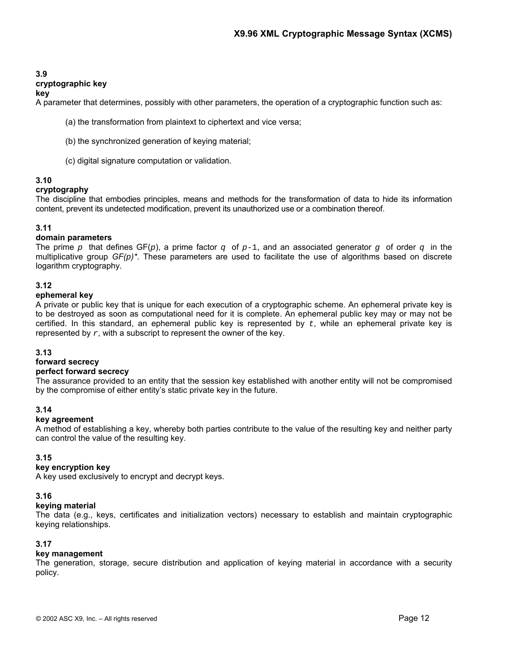#### **3.9**

#### **cryptographic key**

#### **key**

A parameter that determines, possibly with other parameters, the operation of a cryptographic function such as:

(a) the transformation from plaintext to ciphertext and vice versa;

(b) the synchronized generation of keying material;

(c) digital signature computation or validation.

### **3.10**

#### **cryptography**

The discipline that embodies principles, means and methods for the transformation of data to hide its information content, prevent its undetected modification, prevent its unauthorized use or a combination thereof.

#### **3.11**

#### **domain parameters**

The prime p that defines  $GF(p)$ , a prime factor q of  $p-1$ , and an associated generator q of order q in the multiplicative group *GF(*p*)\**. These parameters are used to facilitate the use of algorithms based on discrete logarithm cryptography.

#### **3.12**

#### **ephemeral key**

A private or public key that is unique for each execution of a cryptographic scheme. An ephemeral private key is to be destroyed as soon as computational need for it is complete. An ephemeral public key may or may not be certified. In this standard, an ephemeral public key is represented by  $t$ , while an ephemeral private key is represented by  $r$ , with a subscript to represent the owner of the key.

#### **3.13**

# **forward secrecy**

**perfect forward secrecy**

The assurance provided to an entity that the session key established with another entity will not be compromised by the compromise of either entity's static private key in the future.

### **3.14**

#### **key agreement**

A method of establishing a key, whereby both parties contribute to the value of the resulting key and neither party can control the value of the resulting key.

#### **3.15**

#### **key encryption key**

A key used exclusively to encrypt and decrypt keys.

#### **3.16**

#### **keying material**

The data (e.g., keys, certificates and initialization vectors) necessary to establish and maintain cryptographic keying relationships.

#### **3.17**

#### **key management**

The generation, storage, secure distribution and application of keying material in accordance with a security policy.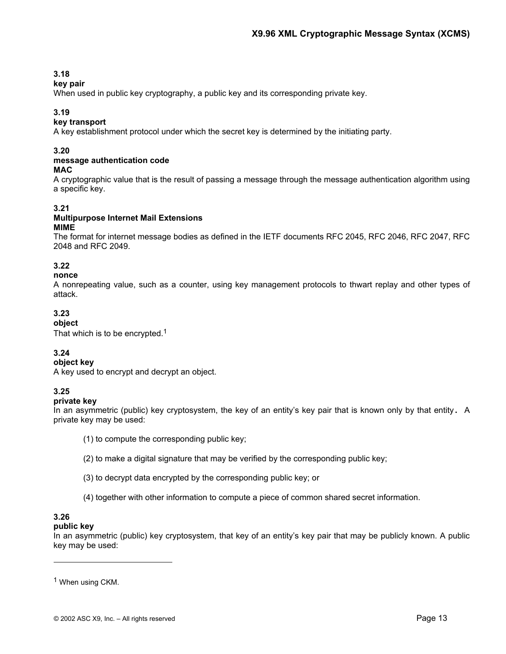# **3.18**

### **key pair**

When used in public key cryptography, a public key and its corresponding private key.

## **3.19**

## **key transport**

A key establishment protocol under which the secret key is determined by the initiating party.

## **3.20**

# **message authentication code**

**MAC** 

A cryptographic value that is the result of passing a message through the message authentication algorithm using a specific key.

## **3.21**

#### **Multipurpose Internet Mail Extensions MIME**

The format for internet message bodies as defined in the IETF documents RFC 2045, RFC 2046, RFC 2047, RFC 2048 and RFC 2049.

## **3.22**

## **nonce**

A nonrepeating value, such as a counter, using key management protocols to thwart replay and other types of attack.

# **3.23**

### **object**

That which is to be encrypted.<sup>[1](#page-14-0)</sup>

# **3.24**

## **object key**

A key used to encrypt and decrypt an object.

# **3.25**

### **private key**

In an asymmetric (public) key cryptosystem, the key of an entity's key pair that is known only by that entity**.** A private key may be used:

(1) to compute the corresponding public key;

- (2) to make a digital signature that may be verified by the corresponding public key;
- (3) to decrypt data encrypted by the corresponding public key; or
- (4) together with other information to compute a piece of common shared secret information.

# **3.26**

l

### **public key**

In an asymmetric (public) key cryptosystem, that key of an entity's key pair that may be publicly known. A public key may be used:

<span id="page-14-0"></span>1 When using CKM.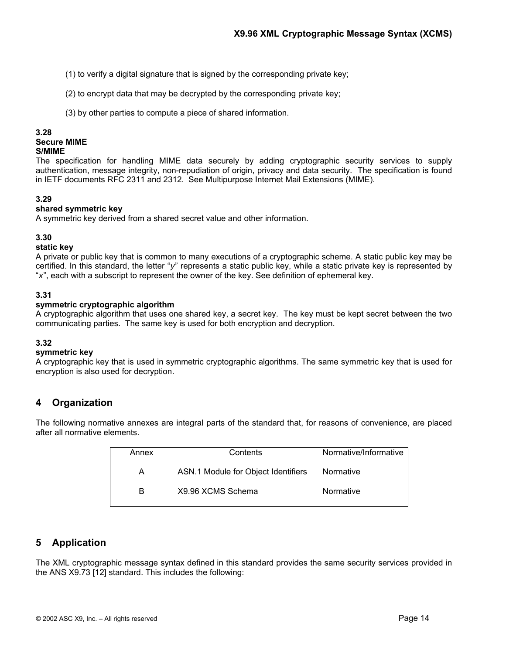- <span id="page-15-0"></span>(1) to verify a digital signature that is signed by the corresponding private key;
- (2) to encrypt data that may be decrypted by the corresponding private key;
- (3) by other parties to compute a piece of shared information.

#### **3.28**

#### **Secure MIME**

#### **S/MIME**

The specification for handling MIME data securely by adding cryptographic security services to supply authentication, message integrity, non-repudiation of origin, privacy and data security. The specification is found in IETF documents RFC 2311 and 2312. See Multipurpose Internet Mail Extensions (MIME).

#### **3.29**

#### **shared symmetric key**

A symmetric key derived from a shared secret value and other information.

#### **3.30**

#### **static key**

A private or public key that is common to many executions of a cryptographic scheme. A static public key may be certified. In this standard, the letter " $y$ " represents a static public key, while a static private key is represented by " $x$ ", each with a subscript to represent the owner of the key. See definition of ephemeral key.

### **3.31**

#### **symmetric cryptographic algorithm**

A cryptographic algorithm that uses one shared key, a secret key. The key must be kept secret between the two communicating parties. The same key is used for both encryption and decryption.

### **3.32**

#### **symmetric key**

A cryptographic key that is used in symmetric cryptographic algorithms. The same symmetric key that is used for encryption is also used for decryption.

# **4 Organization**

The following normative annexes are integral parts of the standard that, for reasons of convenience, are placed after all normative elements.

| Annex | Contents                            | Normative/Informative |
|-------|-------------------------------------|-----------------------|
| A     | ASN.1 Module for Object Identifiers | Normative             |
| B     | X9.96 XCMS Schema                   | Normative             |

# **5 Application**

The XML cryptographic message syntax defined in this standard provides the same security services provided in the ANS X9.73 [12] standard. This includes the following: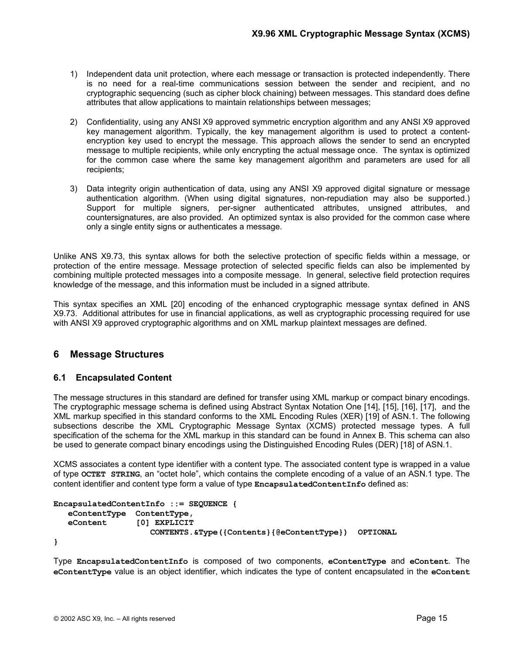- <span id="page-16-0"></span>1) Independent data unit protection, where each message or transaction is protected independently. There is no need for a real-time communications session between the sender and recipient, and no cryptographic sequencing (such as cipher block chaining) between messages. This standard does define attributes that allow applications to maintain relationships between messages;
- 2) Confidentiality, using any ANSI X9 approved symmetric encryption algorithm and any ANSI X9 approved key management algorithm. Typically, the key management algorithm is used to protect a contentencryption key used to encrypt the message. This approach allows the sender to send an encrypted message to multiple recipients, while only encrypting the actual message once. The syntax is optimized for the common case where the same key management algorithm and parameters are used for all recipients;
- 3) Data integrity origin authentication of data, using any ANSI X9 approved digital signature or message authentication algorithm. (When using digital signatures, non-repudiation may also be supported.) Support for multiple signers, per-signer authenticated attributes, unsigned attributes, and countersignatures, are also provided. An optimized syntax is also provided for the common case where only a single entity signs or authenticates a message.

Unlike ANS X9.73, this syntax allows for both the selective protection of specific fields within a message, or protection of the entire message. Message protection of selected specific fields can also be implemented by combining multiple protected messages into a composite message. In general, selective field protection requires knowledge of the message, and this information must be included in a signed attribute.

This syntax specifies an XML [20] encoding of the enhanced cryptographic message syntax defined in ANS X9.73. Additional attributes for use in financial applications, as well as cryptographic processing required for use with ANSI X9 approved cryptographic algorithms and on XML markup plaintext messages are defined.

# **6 Message Structures**

### **6.1 Encapsulated Content**

The message structures in this standard are defined for transfer using XML markup or compact binary encodings. The cryptographic message schema is defined using Abstract Syntax Notation One [14], [15], [16], [17], and the XML markup specified in this standard conforms to the XML Encoding Rules (XER) [19] of ASN.1. The following subsections describe the XML Cryptographic Message Syntax (XCMS) protected message types. A full specification of the schema for the XML markup in this standard can be found in Annex B. This schema can also be used to generate compact binary encodings using the Distinguished Encoding Rules (DER) [18] of ASN.1.

XCMS associates a content type identifier with a content type. The associated content type is wrapped in a value of type **OCTET STRING**, an "octet hole", which contains the complete encoding of a value of an ASN.1 type. The content identifier and content type form a value of type **EncapsulatedContentInfo** defined as:

```
EncapsulatedContentInfo ::= SEQUENCE { 
    eContentType ContentType,
    eContent [0] EXPLICIT
                     CONTENTS.&Type({Contents}{@eContentType}) OPTIONAL
}
```
Type **EncapsulatedContentInfo** is composed of two components, **eContentType** and **eContent**. The **eContentType** value is an object identifier, which indicates the type of content encapsulated in the **eContent**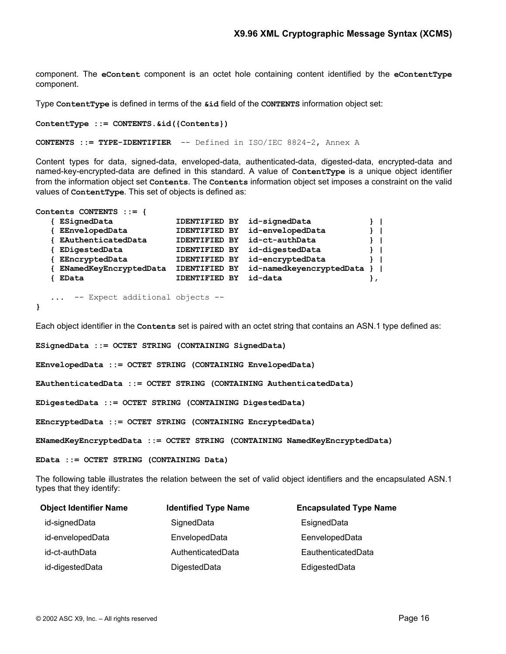component. The **eContent** component is an octet hole containing content identified by the **eContentType** component.

Type **ContentType** is defined in terms of the **&id** field of the **CONTENTS** information object set:

```
ContentType ::= CONTENTS.&id({Contents})
CONTENTS ::= TYPE-IDENTIFIER -- Defined in ISO/IEC 8824-2, Annex A
```
Content types for data, signed-data, enveloped-data, authenticated-data, digested-data, encrypted-data and named-key-encrypted-data are defined in this standard. A value of **ContentType** is a unique object identifier from the information object set **Contents**. The **Contents** information object set imposes a constraint on the valid values of **ContentType**. This set of objects is defined as:

```
Contents CONTENTS ::= {
```

|  | ESignedData            | <b>IDENTIFIED BY</b> | id-signedData            |  |
|--|------------------------|----------------------|--------------------------|--|
|  | EEnvelopedData         | <b>IDENTIFIED BY</b> | id-envelopedData         |  |
|  | EAuthenticatedData     | <b>IDENTIFIED BY</b> | id-ct-authData           |  |
|  | EDigestedData          | <b>IDENTIFIED BY</b> | id-digestedData          |  |
|  | EEncryptedData         | <b>IDENTIFIED BY</b> | id-encryptedData         |  |
|  | ENamedKeyEncryptedData | <b>IDENTIFIED BY</b> | id-namedkeyencryptedData |  |
|  | EData                  | <b>IDENTIFIED BY</b> | id-data                  |  |
|  |                        |                      |                          |  |

```
 ... -- Expect additional objects --
```
**}** 

Each object identifier in the **Contents** set is paired with an octet string that contains an ASN.1 type defined as:

**ESignedData ::= OCTET STRING (CONTAINING SignedData)** 

**EEnvelopedData ::= OCTET STRING (CONTAINING EnvelopedData)** 

**EAuthenticatedData ::= OCTET STRING (CONTAINING AuthenticatedData)** 

**EDigestedData ::= OCTET STRING (CONTAINING DigestedData)** 

**EEncryptedData ::= OCTET STRING (CONTAINING EncryptedData)** 

**ENamedKeyEncryptedData ::= OCTET STRING (CONTAINING NamedKeyEncryptedData)** 

**EData ::= OCTET STRING (CONTAINING Data)**

The following table illustrates the relation between the set of valid object identifiers and the encapsulated ASN.1 types that they identify:

| <b>Object Identifier Name</b> | <b>Identified Type Name</b> | <b>Encapsulated Type Name</b> |
|-------------------------------|-----------------------------|-------------------------------|
| id-signedData                 | SignedData                  | EsignedData                   |
| id-envelopedData              | EnvelopedData               | EenvelopedData                |
| id-ct-authData                | AuthenticatedData           | EauthenticatedData            |
| id-digestedData               | DigestedData                | EdigestedData                 |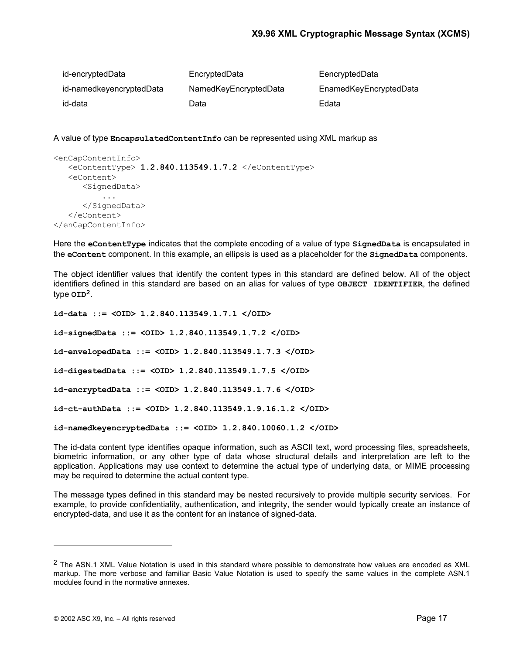| id-encryptedData         | EncryptedData         | EencryptedData         |
|--------------------------|-----------------------|------------------------|
| id-namedkeyencryptedData | NamedKeyEncryptedData | EnamedKeyEncryptedData |
| id-data                  | Data                  | Edata                  |

A value of type **EncapsulatedContentInfo** can be represented using XML markup as

```
<enCapContentInfo> 
    <eContentType> 1.2.840.113549.1.7.2 </eContentType>
    <eContent>
       <SignedData> 
            ... 
       </SignedData> 
    </eContent> 
</enCapContentInfo>
```
Here the **eContentType** indicates that the complete encoding of a value of type **SignedData** is encapsulated in the **eContent** component. In this example, an ellipsis is used as a placeholder for the **SignedData** components.

The object identifier values that identify the content types in this standard are defined below. All of the object identifiers defined in this standard are based on an alias for values of type **OBJECT IDENTIFIER**, the defined type **OI[D2](#page-18-0)**.

```
id-data ::= <OID> 1.2.840.113549.1.7.1 </OID>
id-signedData ::= <OID> 1.2.840.113549.1.7.2 </OID>
id-envelopedData ::= <OID> 1.2.840.113549.1.7.3 </OID> 
id-digestedData ::= <OID> 1.2.840.113549.1.7.5 </OID>
id-encryptedData ::= <OID> 1.2.840.113549.1.7.6 </OID> 
id-ct-authData ::= <OID> 1.2.840.113549.1.9.16.1.2 </OID> 
id-namedkeyencryptedData ::= <OID> 1.2.840.10060.1.2 </OID>
```
The id-data content type identifies opaque information, such as ASCII text, word processing files, spreadsheets, biometric information, or any other type of data whose structural details and interpretation are left to the application. Applications may use context to determine the actual type of underlying data, or MIME processing may be required to determine the actual content type.

The message types defined in this standard may be nested recursively to provide multiple security services. For example, to provide confidentiality, authentication, and integrity, the sender would typically create an instance of encrypted-data, and use it as the content for an instance of signed-data.

l

<span id="page-18-0"></span> $2$  The ASN.1 XML Value Notation is used in this standard where possible to demonstrate how values are encoded as XML markup. The more verbose and familiar Basic Value Notation is used to specify the same values in the complete ASN.1 modules found in the normative annexes.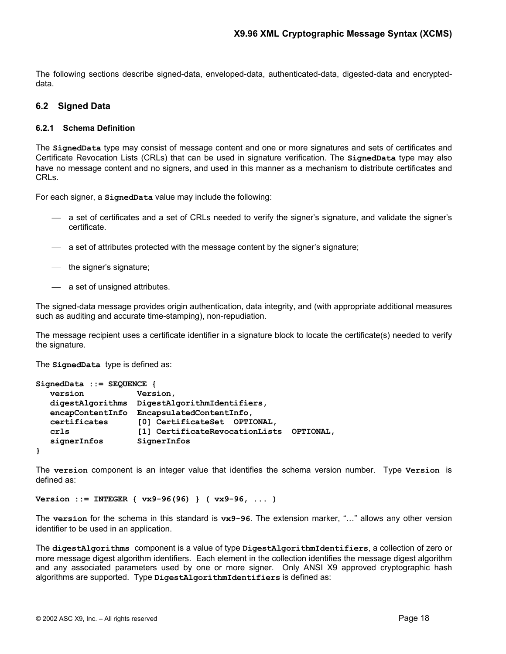<span id="page-19-0"></span>The following sections describe signed-data, enveloped-data, authenticated-data, digested-data and encrypteddata.

#### **6.2 Signed Data**

#### **6.2.1 Schema Definition**

The **SignedData** type may consist of message content and one or more signatures and sets of certificates and Certificate Revocation Lists (CRLs) that can be used in signature verification. The **SignedData** type may also have no message content and no signers, and used in this manner as a mechanism to distribute certificates and CRLs.

For each signer, a **SignedData** value may include the following:

- a set of certificates and a set of CRLs needed to verify the signer's signature, and validate the signer's certificate.
- a set of attributes protected with the message content by the signer's signature;
- $-$  the signer's signature;
- a set of unsigned attributes.

The signed-data message provides origin authentication, data integrity, and (with appropriate additional measures such as auditing and accurate time-stamping), non-repudiation.

The message recipient uses a certificate identifier in a signature block to locate the certificate(s) needed to verify the signature.

The **SignedData** type is defined as:

```
SignedData ::= SEQUENCE {
   version Version,
   digestAlgorithms DigestAlgorithmIdentifiers,
   encapContentInfo EncapsulatedContentInfo,
   certificates [0] CertificateSet OPTIONAL, 
   crls [1] CertificateRevocationLists OPTIONAL,
   signerInfos SignerInfos
}
```
The **version** component is an integer value that identifies the schema version number. Type **Version** is defined as:

```
Version ::= INTEGER { vx9-96(96) } ( vx9-96, ... )
```
The **version** for the schema in this standard is **vx9-96**. The extension marker, "…" allows any other version identifier to be used in an application.

The **digestAlgorithms** component is a value of type **DigestAlgorithmIdentifiers**, a collection of zero or more message digest algorithm identifiers. Each element in the collection identifies the message digest algorithm and any associated parameters used by one or more signer. Only ANSI X9 approved cryptographic hash algorithms are supported. Type **DigestAlgorithmIdentifiers** is defined as: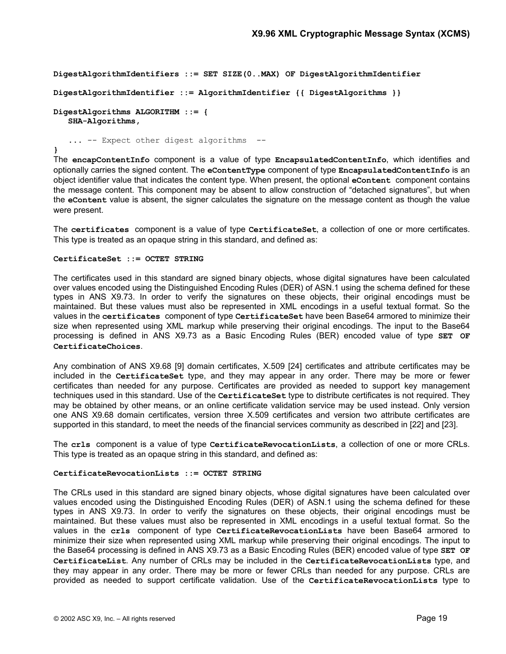```
DigestAlgorithmIdentifiers ::= SET SIZE(0..MAX) OF DigestAlgorithmIdentifier 
DigestAlgorithmIdentifier ::= AlgorithmIdentifier {{ DigestAlgorithms }} 
DigestAlgorithms ALGORITHM ::= { 
    SHA-Algorithms,
    ... -- Expect other digest algorithms --
}
```
The **encapContentInfo** component is a value of type **EncapsulatedContentInfo**, which identifies and optionally carries the signed content. The **eContentType** component of type **EncapsulatedContentInfo** is an object identifier value that indicates the content type. When present, the optional **eContent** component contains the message content. This component may be absent to allow construction of "detached signatures", but when the **eContent** value is absent, the signer calculates the signature on the message content as though the value were present.

The **certificates** component is a value of type **CertificateSet**, a collection of one or more certificates. This type is treated as an opaque string in this standard, and defined as:

#### **CertificateSet ::= OCTET STRING**

The certificates used in this standard are signed binary objects, whose digital signatures have been calculated over values encoded using the Distinguished Encoding Rules (DER) of ASN.1 using the schema defined for these types in ANS X9.73. In order to verify the signatures on these objects, their original encodings must be maintained. But these values must also be represented in XML encodings in a useful textual format. So the values in the **certificates** component of type **CertificateSet** have been Base64 armored to minimize their size when represented using XML markup while preserving their original encodings. The input to the Base64 processing is defined in ANS X9.73 as a Basic Encoding Rules (BER) encoded value of type **SET OF CertificateChoices**.

Any combination of ANS X9.68 [9] domain certificates, X.509 [24] certificates and attribute certificates may be included in the **CertificateSet** type, and they may appear in any order. There may be more or fewer certificates than needed for any purpose. Certificates are provided as needed to support key management techniques used in this standard. Use of the **CertificateSet** type to distribute certificates is not required. They may be obtained by other means, or an online certificate validation service may be used instead. Only version one ANS X9.68 domain certificates, version three X.509 certificates and version two attribute certificates are supported in this standard, to meet the needs of the financial services community as described in [22] and [23].

The **crls** component is a value of type **CertificateRevocationLists**, a collection of one or more CRLs. This type is treated as an opaque string in this standard, and defined as:

#### **CertificateRevocationLists ::= OCTET STRING**

The CRLs used in this standard are signed binary objects, whose digital signatures have been calculated over values encoded using the Distinguished Encoding Rules (DER) of ASN.1 using the schema defined for these types in ANS X9.73. In order to verify the signatures on these objects, their original encodings must be maintained. But these values must also be represented in XML encodings in a useful textual format. So the values in the **crls** component of type **CertificateRevocationLists** have been Base64 armored to minimize their size when represented using XML markup while preserving their original encodings. The input to the Base64 processing is defined in ANS X9.73 as a Basic Encoding Rules (BER) encoded value of type **SET OF CertificateList**. Any number of CRLs may be included in the **CertificateRevocationLists** type, and they may appear in any order. There may be more or fewer CRLs than needed for any purpose. CRLs are provided as needed to support certificate validation. Use of the **CertificateRevocationLists** type to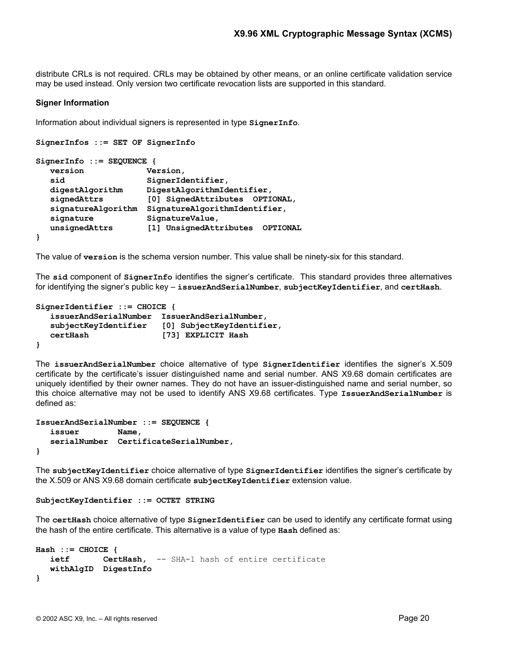distribute CRLs is not required. CRLs may be obtained by other means, or an online certificate validation service may be used instead. Only version two certificate revocation lists are supported in this standard.

#### **Signer Information**

Information about individual signers is represented in type **SignerInfo**.

```
SignerInfos ::= SET OF SignerInfo
SignerInfo ::= SEQUENCE {
   version Version,
   sid SignerIdentifier, 
   digestAlgorithm DigestAlgorithmIdentifier,
   signedAttrs [0] SignedAttributes OPTIONAL,
   signatureAlgorithm SignatureAlgorithmIdentifier,
   signature SignatureValue,
   unsignedAttrs [1] UnsignedAttributes OPTIONAL
}
```
The value of **version** is the schema version number. This value shall be ninety-six for this standard.

The **sid** component of **SignerInfo** identifies the signer's certificate. This standard provides three alternatives for identifying the signer's public key – **issuerAndSerialNumber**, **subjectKeyIdentifier**, and **certHash**.

```
SignerIdentifier ::= CHOICE { 
   issuerAndSerialNumber IssuerAndSerialNumber, 
   subjectKeyIdentifier [0] SubjectKeyIdentifier, 
   certHash [73] EXPLICIT Hash
}
```
The **issuerAndSerialNumber** choice alternative of type **SignerIdentifier** identifies the signer's X.509 certificate by the certificate's issuer distinguished name and serial number. ANS X9.68 domain certificates are uniquely identified by their owner names. They do not have an issuer-distinguished name and serial number, so this choice alternative may not be used to identify ANS X9.68 certificates. Type **IssuerAndSerialNumber** is defined as:

```
IssuerAndSerialNumber ::= SEQUENCE { 
   issuer Name,
   serialNumber CertificateSerialNumber,
}
```
The **subjectKeyIdentifier** choice alternative of type **SignerIdentifier** identifies the signer's certificate by the X.509 or ANS X9.68 domain certificate **subjectKeyIdentifier** extension value.

```
SubjectKeyIdentifier ::= OCTET STRING
```
The **certHash** choice alternative of type **SignerIdentifier** can be used to identify any certificate format using the hash of the entire certificate. This alternative is a value of type **Hash** defined as:

```
Hash ::= CHOICE {
   ietf CertHash, -- SHA-1 hash of entire certificate
   withAlgID DigestInfo 
}
```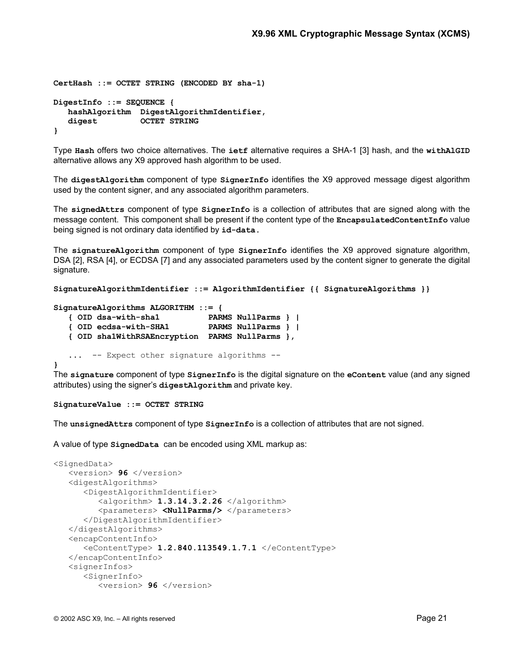```
CertHash ::= OCTET STRING (ENCODED BY sha-1) 
DigestInfo ::= SEQUENCE {
   hashAlgorithm DigestAlgorithmIdentifier, 
    digest OCTET STRING
}
```
Type **Hash** offers two choice alternatives. The **ietf** alternative requires a SHA-1 [3] hash, and the **withAlGID** alternative allows any X9 approved hash algorithm to be used.

The **digestAlgorithm** component of type **SignerInfo** identifies the X9 approved message digest algorithm used by the content signer, and any associated algorithm parameters.

The **signedAttrs** component of type **SignerInfo** is a collection of attributes that are signed along with the message content. This component shall be present if the content type of the **EncapsulatedContentInfo** value being signed is not ordinary data identified by **id-data**.

The **signatureAlgorithm** component of type **SignerInfo** identifies the X9 approved signature algorithm, DSA [2], RSA [4], or ECDSA [7] and any associated parameters used by the content signer to generate the digital signature.

```
SignatureAlgorithmIdentifier ::= AlgorithmIdentifier {{ SignatureAlgorithms }}
```

```
SignatureAlgorithms ALGORITHM ::= {
```

```
 { OID dsa-with-sha1 PARMS NullParms } |
 { OID ecdsa-with-SHA1 PARMS NullParms } |
   { OID sha1WithRSAEncryption PARMS NullParms },
```
 **...** -- Expect other signature algorithms --

**}** 

The **signature** component of type **SignerInfo** is the digital signature on the **eContent** value (and any signed attributes) using the signer's **digestAlgorithm** and private key.

**SignatureValue ::= OCTET STRING**

The **unsignedAttrs** component of type **SignerInfo** is a collection of attributes that are not signed.

A value of type **SignedData** can be encoded using XML markup as:

```
<SignedData> 
    <version> 96 </version> 
    <digestAlgorithms> 
      <DigestAlgorithmIdentifier>
          <algorithm> 1.3.14.3.2.26 </algorithm> 
          <parameters> <NullParms/> </parameters> 
       </DigestAlgorithmIdentifier> 
    </digestAlgorithms> 
    <encapContentInfo> 
       <eContentType> 1.2.840.113549.1.7.1 </eContentType> 
    </encapContentInfo> 
    <signerInfos> 
       <SignerInfo> 
          <version> 96 </version>
```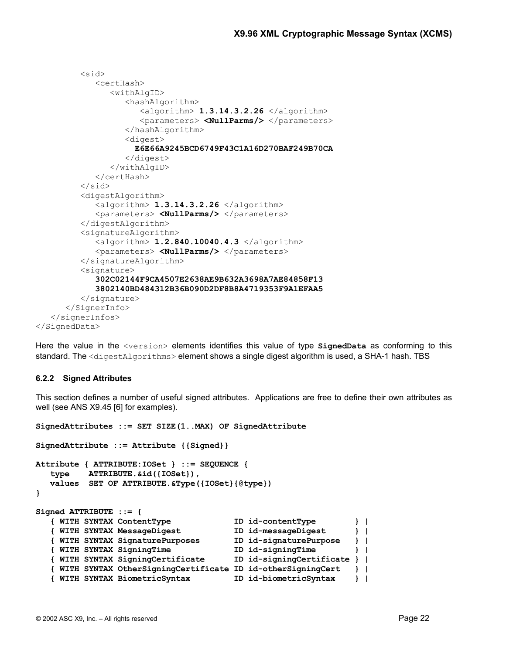```
<sid> <certHash> 
                 <withAlgID> 
                     <hashAlgorithm> 
                        <algorithm> 1.3.14.3.2.26 </algorithm> 
                        <parameters> <NullParms/> </parameters> 
                     </hashAlgorithm> 
                    <digest>
                       E6E66A9245BCD6749F43C1A16D270BAF249B70CA 
                     </digest> 
                 </withAlgID> 
              </certHash> 
         \langle/sid\rangle<digestAlgorithm>
              <algorithm> 1.3.14.3.2.26 </algorithm> 
              <parameters> <NullParms/> </parameters> 
           </digestAlgorithm> 
         <signatureAlgorithm>
              <algorithm> 1.2.840.10040.4.3 </algorithm> 
              <parameters> <NullParms/> </parameters> 
          </signatureAlgorithm> 
          <signature> 
              302C02144F9CA4507E2638AE9B632A3698A7AE84858F13 
              3802140BD484312B36B090D2DF8B8A4719353F9A1EFAA5 
          </signature> 
       </SignerInfo> 
    </signerInfos> 
</SignedData>
```
Here the value in the <version> elements identifies this value of type **SignedData** as conforming to this standard. The <digestAlgorithms> element shows a single digest algorithm is used, a SHA-1 hash. TBS

#### **6.2.2 Signed Attributes**

This section defines a number of useful signed attributes. Applications are free to define their own attributes as well (see ANS X9.45 [6] for examples).

```
SignedAttributes ::= SET SIZE(1..MAX) OF SignedAttribute
SignedAttribute ::= Attribute {{Signed}}
Attribute { ATTRIBUTE:IOSet } ::= SEQUENCE { 
   type ATTRIBUTE.&id({IOSet}),
   values SET OF ATTRIBUTE.&Type({IOSet}{@type}) 
} 
Signed ATTRIBUTE ::= {
   { WITH SYNTAX ContentType ID id-contentType } | 
   { WITH SYNTAX MessageDigest ID id-messageDigest } | 
 { WITH SYNTAX SignaturePurposes ID id-signaturePurpose } | 
 { WITH SYNTAX SigningTime ID id-signingTime } | 
   { WITH SYNTAX SigningCertificate ID id-signingCertificate } | 
   { WITH SYNTAX OtherSigningCertificate ID id-otherSigningCert } |
   { WITH SYNTAX BiometricSyntax ID id-biometricSyntax } |
```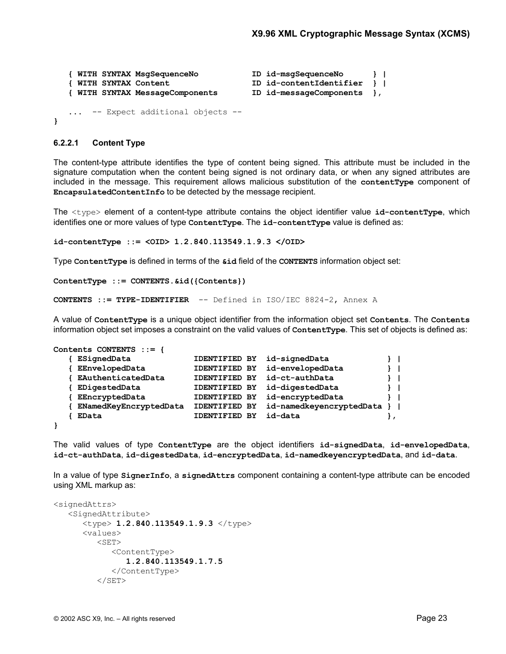```
 { WITH SYNTAX MsgSequenceNo ID id-msgSequenceNo } | 
   { WITH SYNTAX Content ID id-contentIdentifier } | 
   { WITH SYNTAX MessageComponents ID id-messageComponents }, 
   ... -- Expect additional objects --
}
```
#### **6.2.2.1 Content Type**

The content-type attribute identifies the type of content being signed. This attribute must be included in the signature computation when the content being signed is not ordinary data, or when any signed attributes are included in the message. This requirement allows malicious substitution of the **contentType** component of **EncapsulatedContentInfo** to be detected by the message recipient.

The <type> element of a content-type attribute contains the object identifier value **id-contentType**, which identifies one or more values of type **ContentType**. The **id-contentType** value is defined as:

```
id-contentType ::= <OID> 1.2.840.113549.1.9.3 </OID>
```
Type **ContentType** is defined in terms of the **&id** field of the **CONTENTS** information object set:

```
ContentType ::= CONTENTS.&id({Contents})
```

```
CONTENTS ::= TYPE-IDENTIFIER -- Defined in ISO/IEC 8824-2, Annex A
```
A value of **ContentType** is a unique object identifier from the information object set **Contents**. The **Contents** information object set imposes a constraint on the valid values of **ContentType**. This set of objects is defined as:

```
Contents CONTENTS ::= {
```

|  | ESignedData            | <b>IDENTIFIED BY</b> | id-signedData            |              |
|--|------------------------|----------------------|--------------------------|--------------|
|  | EEnvelopedData         | <b>IDENTIFIED BY</b> | id-envelopedData         | $\mathbf{1}$ |
|  | EAuthenticatedData     | <b>IDENTIFIED BY</b> | id-ct-authData           |              |
|  | EDigestedData          | <b>IDENTIFIED BY</b> | id-digestedData          |              |
|  | EEncryptedData         | <b>IDENTIFIED BY</b> | id-encryptedData         |              |
|  | ENamedKeyEncryptedData | <b>IDENTIFIED BY</b> | id-namedkeyencryptedData |              |
|  | EData                  | IDENTIFIED BY        | id-data                  |              |
|  |                        |                      |                          |              |

The valid values of type **ContentType** are the object identifiers **id-signedData**, **id-envelopedData**, **id-ct-authData**, **id-digestedData**, **id-encryptedData**, **id-namedkeyencryptedData**, and **id-data**.

In a value of type **SignerInfo**, a **signedAttrs** component containing a content-type attribute can be encoded using XML markup as:

```
<signedAttrs> 
    <SignedAttribute> 
       <type> 1.2.840.113549.1.9.3 </type> 
       <values> 
          <SET> <ContentType> 
                  1.2.840.113549.1.7.5
              </ContentType> 
          \langle/SET>
```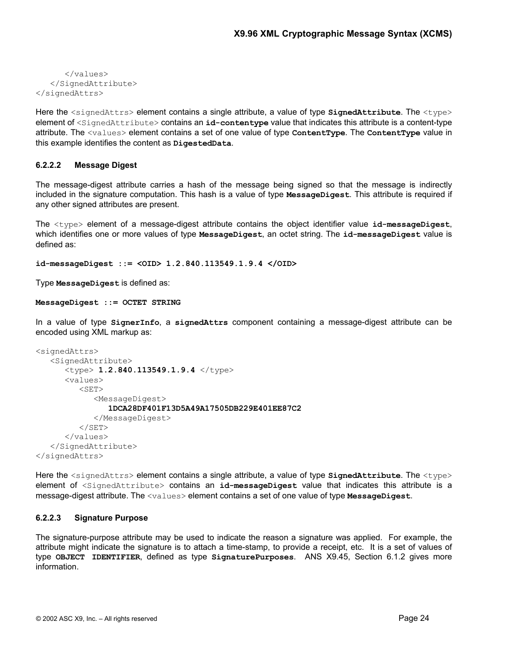```
 </values> 
    </SignedAttribute>
</signedAttrs>
```
Here the <signedAttrs> element contains a single attribute, a value of type signedAttribute. The <type> element of <SignedAttribute> contains an **id-contentype** value that indicates this attribute is a content-type attribute. The <values> element contains a set of one value of type **ContentType**. The **ContentType** value in this example identifies the content as **DigestedData**.

### **6.2.2.2 Message Digest**

The message-digest attribute carries a hash of the message being signed so that the message is indirectly included in the signature computation. This hash is a value of type **MessageDigest**. This attribute is required if any other signed attributes are present.

The <type> element of a message-digest attribute contains the object identifier value **id-messageDigest**, which identifies one or more values of type **MessageDigest**, an octet string. The **id-messageDigest** value is defined as:

**id-messageDigest ::= <OID> 1.2.840.113549.1.9.4 </OID>** 

Type **MessageDigest** is defined as:

**MessageDigest ::= OCTET STRING**

In a value of type **SignerInfo**, a **signedAttrs** component containing a message-digest attribute can be encoded using XML markup as:

```
<signedAttrs> 
    <SignedAttribute> 
       <type> 1.2.840.113549.1.9.4 </type> 
       <values> 
         <SET> <MessageDigest> 
                 1DCA28DF401F13D5A49A17505DB229E401EE87C2
              </MessageDigest> 
         </SET>
       </values> 
    </SignedAttribute>
</signedAttrs>
```
Here the  $\langle$ signedAttrs> element contains a single attribute, a value of type signedAttribute. The  $\langle$ type> element of <SignedAttribute> contains an **id-messageDigest** value that indicates this attribute is a message-digest attribute. The <values> element contains a set of one value of type **MessageDigest**.

### **6.2.2.3 Signature Purpose**

The signature-purpose attribute may be used to indicate the reason a signature was applied. For example, the attribute might indicate the signature is to attach a time-stamp, to provide a receipt, etc. It is a set of values of type **OBJECT IDENTIFIER**, defined as type **SignaturePurposes**. ANS X9.45, Section 6.1.2 gives more information.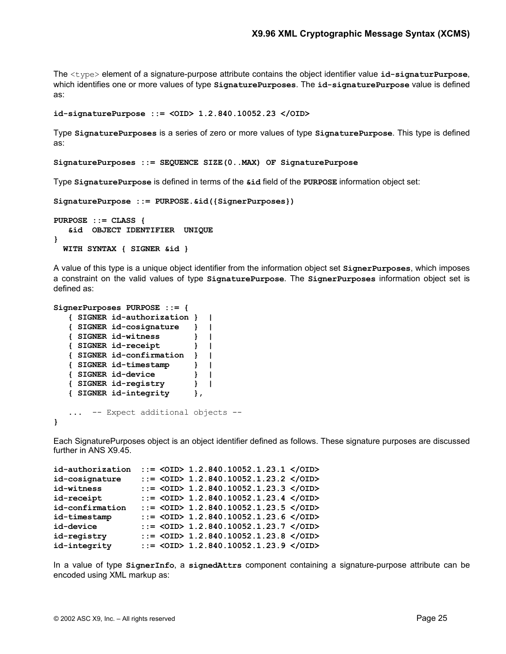The <type> element of a signature-purpose attribute contains the object identifier value **id-signaturPurpose**, which identifies one or more values of type **SignaturePurposes**. The **id-signaturePurpose** value is defined as:

```
id-signaturePurpose ::= <OID> 1.2.840.10052.23 </OID>
```
Type **SignaturePurposes** is a series of zero or more values of type **SignaturePurpose**. This type is defined as:

**SignaturePurposes ::= SEQUENCE SIZE(0..MAX) OF SignaturePurpose**

Type **SignaturePurpose** is defined in terms of the **&id** field of the **PURPOSE** information object set:

```
SignaturePurpose ::= PURPOSE.&id({SignerPurposes}) 
PURPOSE ::= CLASS { 
    &id OBJECT IDENTIFIER UNIQUE
} 
  WITH SYNTAX { SIGNER &id }
```
A value of this type is a unique object identifier from the information object set **SignerPurposes**, which imposes a constraint on the valid values of type **SignaturePurpose**. The **SignerPurposes** information object set is defined as:

```
SignerPurposes PURPOSE ::= { 
   { SIGNER id-authorization } | 
    { SIGNER id-cosignature } | 
   { SIGNER id-witness } | 
   { SIGNER id-receipt } | 
   { SIGNER id-confirmation } | 
   { SIGNER id-timestamp } | 
   { SIGNER id-device } | 
   { SIGNER id-registry } | 
   { SIGNER id-integrity },
   ... -- Expect additional objects --
}
```
Each SignaturePurposes object is an object identifier defined as follows. These signature purposes are discussed further in ANS X9.45.

```
id-authorization ::= <OID> 1.2.840.10052.1.23.1 </OID>
id-cosignature ::= <OID> 1.2.840.10052.1.23.2 </OID>
id-witness ::= <OID> 1.2.840.10052.1.23.3 </OID>
id-receipt ::= <OID> 1.2.840.10052.1.23.4 </OID>
id-confirmation ::= <OID> 1.2.840.10052.1.23.5 </OID>
id-timestamp ::= <OID> 1.2.840.10052.1.23.6 </OID>
id-device ::= <OID> 1.2.840.10052.1.23.7 </OID>
id-registry ::= <OID> 1.2.840.10052.1.23.8 </OID>
id-integrity ::= <OID> 1.2.840.10052.1.23.9 </OID>
```
In a value of type **SignerInfo**, a **signedAttrs** component containing a signature-purpose attribute can be encoded using XML markup as: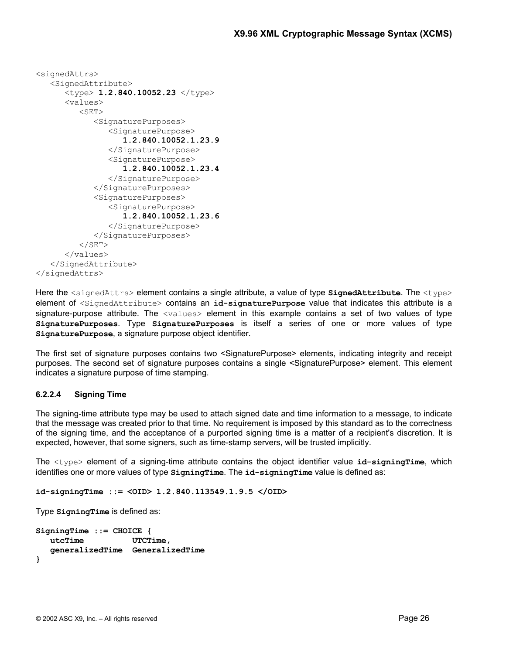```
<signedAttrs> 
    <SignedAttribute> 
       <type> 1.2.840.10052.23 </type> 
       <values> 
          <SET>
              <SignaturePurposes> 
                 <SignaturePurpose>
                     1.2.840.10052.1.23.9
                 </SignaturePurpose>
                 <SignaturePurpose>
                     1.2.840.10052.1.23.4
                 </SignaturePurpose>
              </SignaturePurposes> 
              <SignaturePurposes> 
                 <SignaturePurpose>
                     1.2.840.10052.1.23.6
                 </SignaturePurpose>
              </SignaturePurposes> 
          \langle/SET>
       </values> 
    </SignedAttribute>
</signedAttrs>
```
Here the <signedAttrs> element contains a single attribute, a value of type signedAttribute. The <type> element of <SignedAttribute> contains an **id-signaturePurpose** value that indicates this attribute is a signature-purpose attribute. The <values> element in this example contains a set of two values of type **SignaturePurposes**. Type **SignaturePurposes** is itself a series of one or more values of type **SignaturePurpose**, a signature purpose object identifier.

The first set of signature purposes contains two <SignaturePurpose> elements, indicating integrity and receipt purposes. The second set of signature purposes contains a single <SignaturePurpose> element. This element indicates a signature purpose of time stamping.

### **6.2.2.4 Signing Time**

The signing-time attribute type may be used to attach signed date and time information to a message, to indicate that the message was created prior to that time. No requirement is imposed by this standard as to the correctness of the signing time, and the acceptance of a purported signing time is a matter of a recipient's discretion. It is expected, however, that some signers, such as time-stamp servers, will be trusted implicitly.

The <type> element of a signing-time attribute contains the object identifier value **id-signingTime**, which identifies one or more values of type **SigningTime**. The **id-signingTime** value is defined as:

**id-signingTime ::= <OID> 1.2.840.113549.1.9.5 </OID>** 

Type **SigningTime** is defined as:

```
SigningTime ::= CHOICE { 
   utcTime UTCTime, 
   generalizedTime GeneralizedTime
}
```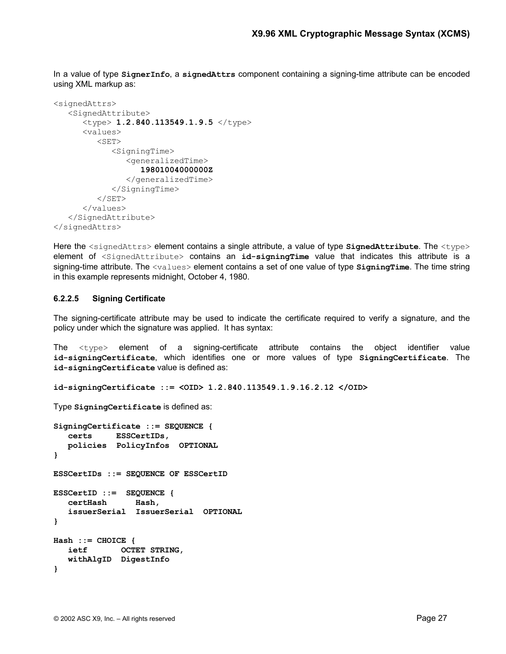In a value of type **SignerInfo**, a **signedAttrs** component containing a signing-time attribute can be encoded using XML markup as:

```
<signedAttrs> 
    <SignedAttribute> 
       <type> 1.2.840.113549.1.9.5 </type> 
       <values> 
          <SET> <SigningTime> 
                  <generalizedTime>
                     19801004000000Z 
                  </generalizedTime>
              </SigningTime> 
          \langle/SET>
       </values> 
    </SignedAttribute>
</signedAttrs>
```
Here the <signedAttrs> element contains a single attribute, a value of type signedAttribute. The <type> element of <SignedAttribute> contains an **id-signingTime** value that indicates this attribute is a signing-time attribute. The <values> element contains a set of one value of type **SigningTime**. The time string in this example represents midnight, October 4, 1980.

#### **6.2.2.5 Signing Certificate**

The signing-certificate attribute may be used to indicate the certificate required to verify a signature, and the policy under which the signature was applied. It has syntax:

The <type> element of a signing-certificate attribute contains the object identifier value **id-signingCertificate**, which identifies one or more values of type **SigningCertificate**. The **id-signingCertificate** value is defined as:

```
id-signingCertificate ::= <OID> 1.2.840.113549.1.9.16.2.12 </OID>
```
Type **SigningCertificate** is defined as:

```
SigningCertificate ::= SEQUENCE { 
    certs ESSCertIDs,
    policies PolicyInfos OPTIONAL
} 
ESSCertIDs ::= SEQUENCE OF ESSCertID
ESSCertID ::= SEQUENCE { 
    certHash Hash, 
    issuerSerial IssuerSerial OPTIONAL
} 
Hash ::= CHOICE {
    ietf OCTET STRING, 
    withAlgID DigestInfo 
}
```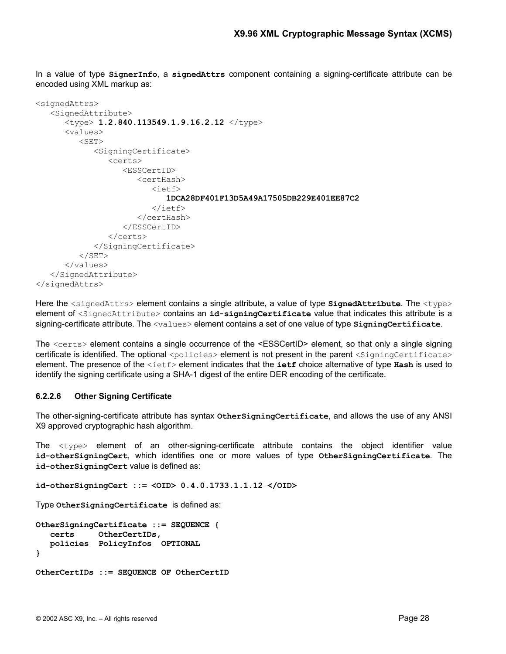In a value of type **SignerInfo**, a **signedAttrs** component containing a signing-certificate attribute can be encoded using XML markup as:

```
<signedAttrs> 
    <SignedAttribute> 
        <type> 1.2.840.113549.1.9.16.2.12 </type> 
       <values> 
          <SET> <SigningCertificate> 
                  <certs>
                      <ESSCertID> 
                         <certHash>
                            \langleietf>
                                1DCA28DF401F13D5A49A17505DB229E401EE87C2
                            \langle/ietf>
                         </certHash>
                      </ESSCertID>
                  </certs>
               </SigningCertificate> 
          \langle/SET> </values> 
    </SignedAttribute>
</signedAttrs>
```
Here the <signedAttrs> element contains a single attribute, a value of type signedAttribute. The <type> element of <SignedAttribute> contains an **id-signingCertificate** value that indicates this attribute is a signing-certificate attribute. The <values> element contains a set of one value of type **SigningCertificate**.

The <certs> element contains a single occurrence of the <ESSCertID> element, so that only a single signing certificate is identified. The optional <policies> element is not present in the parent <signingCertificate> element. The presence of the  $\langle \text{i} \in \mathcal{E} \rangle$  element indicates that the **ietf** choice alternative of type **Hash** is used to identify the signing certificate using a SHA-1 digest of the entire DER encoding of the certificate.

#### **6.2.2.6 Other Signing Certificate**

The other-signing-certificate attribute has syntax **OtherSigningCertificate**, and allows the use of any ANSI X9 approved cryptographic hash algorithm.

The <type> element of an other-signing-certificate attribute contains the object identifier value **id-otherSigningCert**, which identifies one or more values of type **OtherSigningCertificate**. The **id-otherSigningCert** value is defined as:

**id-otherSigningCert ::= <OID> 0.4.0.1733.1.1.12 </OID>**

Type **OtherSigningCertificate** is defined as:

```
OtherSigningCertificate ::= SEQUENCE { 
   certs OtherCertIDs,
   policies PolicyInfos OPTIONAL
}
```

```
OtherCertIDs ::= SEQUENCE OF OtherCertID
```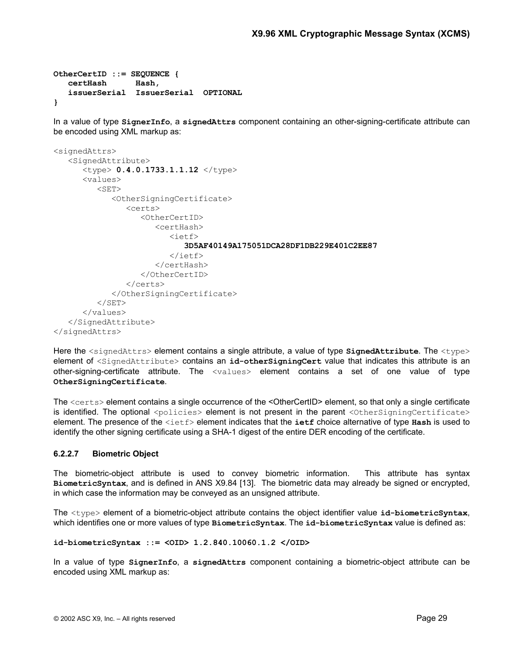```
OtherCertID ::= SEQUENCE { 
    certHash Hash,
    issuerSerial IssuerSerial OPTIONAL
}
```
In a value of type **SignerInfo**, a **signedAttrs** component containing an other-signing-certificate attribute can be encoded using XML markup as:

```
<signedAttrs> 
    <SignedAttribute> 
        <type> 0.4.0.1733.1.1.12 </type>
        <values> 
           \angleSET>
               <OtherSigningCertificate> 
                  \langle \text{parts} \rangle <OtherCertID> 
                           <certHash>
                              <ietf>
                                  3D5AF40149A175051DCA28DF1DB229E401C2EE87
                             \langle/ietf>
                           </certHash>
                       </OtherCertID> 
                   </certs>
               </OtherSigningCertificate> 
           \langle/SET> </values> 
    </SignedAttribute>
</signedAttrs>
```
Here the <signedAttrs> element contains a single attribute, a value of type signedAttribute. The <type> element of <SignedAttribute> contains an **id-otherSigningCert** value that indicates this attribute is an other-signing-certificate attribute. The <values> element contains a set of one value of type **OtherSigningCertificate**.

The <certs> element contains a single occurrence of the <OtherCertID> element, so that only a single certificate is identified. The optional <policies> element is not present in the parent <OtherSigningCertificate> element. The presence of the  $\langle \text{i} \in \mathbf{f} \rangle$  element indicates that the **ietf** choice alternative of type **Hash** is used to identify the other signing certificate using a SHA-1 digest of the entire DER encoding of the certificate.

### **6.2.2.7 Biometric Object**

The biometric-object attribute is used to convey biometric information. This attribute has syntax **BiometricSyntax**, and is defined in ANS X9.84 [13]. The biometric data may already be signed or encrypted, in which case the information may be conveyed as an unsigned attribute.

The <type> element of a biometric-object attribute contains the object identifier value **id-biometricSyntax**, which identifies one or more values of type **BiometricSyntax**. The **id-biometricSyntax** value is defined as:

```
id-biometricSyntax ::= <OID> 1.2.840.10060.1.2 </OID>
```
In a value of type **SignerInfo**, a **signedAttrs** component containing a biometric-object attribute can be encoded using XML markup as: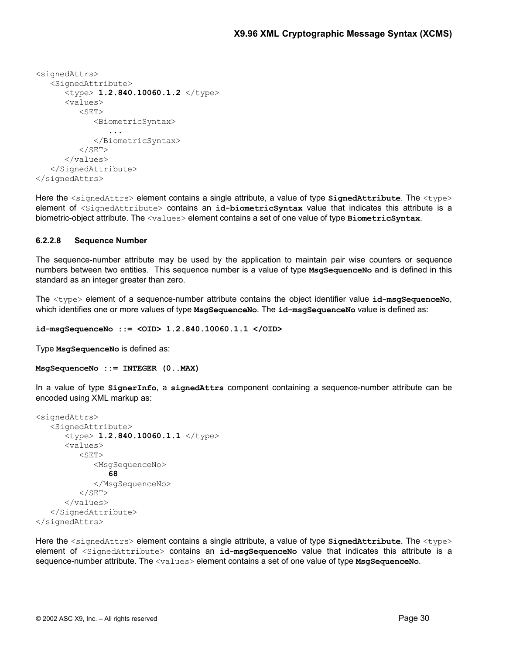```
<signedAttrs> 
    <SignedAttribute> 
       <type> 1.2.840.10060.1.2 </type>
       <values> 
         <SET>
             <BiometricSyntax> 
 ...
             </BiometricSyntax>
         </SET> </values> 
    </SignedAttribute>
</signedAttrs>
```
Here the  $\langle$ signedAttrs> element contains a single attribute, a value of type signedAttribute. The  $\langle$ type> element of <SignedAttribute> contains an **id-biometricSyntax** value that indicates this attribute is a biometric-object attribute. The <values> element contains a set of one value of type **BiometricSyntax**.

#### **6.2.2.8 Sequence Number**

The sequence-number attribute may be used by the application to maintain pair wise counters or sequence numbers between two entities. This sequence number is a value of type **MsgSequenceNo** and is defined in this standard as an integer greater than zero.

The <type> element of a sequence-number attribute contains the object identifier value **id-msgSequenceNo**, which identifies one or more values of type **MsgSequenceNo**. The **id-msgSequenceNo** value is defined as:

**id-msgSequenceNo ::= <OID> 1.2.840.10060.1.1 </OID>** 

Type **MsgSequenceNo** is defined as:

```
MsgSequenceNo ::= INTEGER (0..MAX)
```
In a value of type **SignerInfo**, a **signedAttrs** component containing a sequence-number attribute can be encoded using XML markup as:

```
<signedAttrs> 
    <SignedAttribute> 
       <type> 1.2.840.10060.1.1 </type>
       <values> 
         <SET> <MsgSequenceNo> 
68
             </MsgSequenceNo> 
         \langle/SET> </values> 
    </SignedAttribute>
</signedAttrs>
```
Here the <signedAttrs> element contains a single attribute, a value of type signedAttribute. The <type> element of <SignedAttribute> contains an **id-msgSequenceNo** value that indicates this attribute is a sequence-number attribute. The <values> element contains a set of one value of type **MsgSequenceNo**.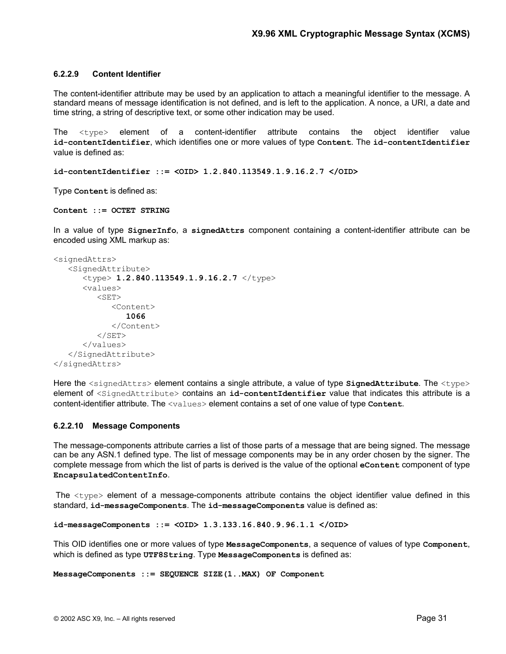#### **6.2.2.9 Content Identifier**

The content-identifier attribute may be used by an application to attach a meaningful identifier to the message. A standard means of message identification is not defined, and is left to the application. A nonce, a URI, a date and time string, a string of descriptive text, or some other indication may be used.

The  $\langle \text{type} \rangle$  element of a content-identifier attribute contains the object identifier value **id-contentIdentifier**, which identifies one or more values of type **Content**. The **id-contentIdentifier** value is defined as:

**id-contentIdentifier ::= <OID> 1.2.840.113549.1.9.16.2.7 </OID>**

Type **Content** is defined as:

**Content ::= OCTET STRING** 

In a value of type **SignerInfo**, a **signedAttrs** component containing a content-identifier attribute can be encoded using XML markup as:

```
<signedAttrs> 
    <SignedAttribute> 
       <type> 1.2.840.113549.1.9.16.2.7 </type>
       <values> 
          <SET> <Content> 
                  1066
               </Content> 
          \langle/SET>
      \langle/values>
    </SignedAttribute>
</signedAttrs>
```
Here the <signedAttrs> element contains a single attribute, a value of type signedAttribute. The <type> element of <SignedAttribute> contains an **id-contentIdentifier** value that indicates this attribute is a content-identifier attribute. The <values> element contains a set of one value of type **Content**.

#### **6.2.2.10 Message Components**

The message-components attribute carries a list of those parts of a message that are being signed. The message can be any ASN.1 defined type. The list of message components may be in any order chosen by the signer. The complete message from which the list of parts is derived is the value of the optional **eContent** component of type **EncapsulatedContentInfo**.

The  $lt_type$  element of a message-components attribute contains the object identifier value defined in this standard, **id-messageComponents**. The **id-messageComponents** value is defined as:

**id-messageComponents ::= <OID> 1.3.133.16.840.9.96.1.1 </OID>** 

This OID identifies one or more values of type **MessageComponents**, a sequence of values of type **Component**, which is defined as type **UTF8String**. Type **MessageComponents** is defined as:

**MessageComponents ::= SEQUENCE SIZE(1..MAX) OF Component**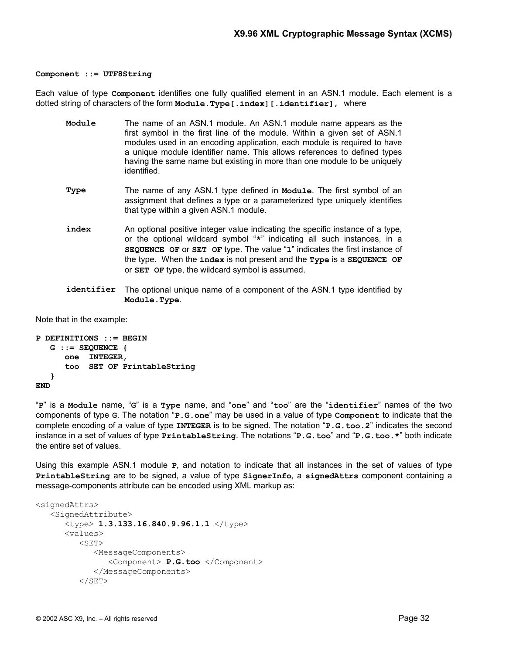#### **Component ::= UTF8String**

Each value of type **Component** identifies one fully qualified element in an ASN.1 module. Each element is a dotted string of characters of the form **Module.Type[.index][.identifier]**, where

| Module | The name of an ASN.1 module. An ASN.1 module name appears as the          |
|--------|---------------------------------------------------------------------------|
|        | first symbol in the first line of the module. Within a given set of ASN.1 |
|        | modules used in an encoding application, each module is required to have  |
|        | a unique module identifier name. This allows references to defined types  |
|        | having the same name but existing in more than one module to be uniquely  |
|        | identified.                                                               |

- **Type** The name of any ASN.1 type defined in **Module**. The first symbol of an assignment that defines a type or a parameterized type uniquely identifies that type within a given ASN.1 module.
- **index** An optional positive integer value indicating the specific instance of a type, or the optional wildcard symbol "**\***" indicating all such instances, in a **SEQUENCE OF** or **SET OF** type. The value "**1**" indicates the first instance of the type. When the **index** is not present and the **Type** is a **SEQUENCE OF** or **SET OF** type, the wildcard symbol is assumed.
- **identifier** The optional unique name of a component of the ASN.1 type identified by **Module.Type**.

Note that in the example:

```
P DEFINITIONS ::= BEGIN 
    G ::= SEQUENCE {
       one INTEGER,
       too SET OF PrintableString 
    } 
END
```
"**P**" is a **Module** name, "**G**" is a **Type** name, and "**one**" and "**too**" are the "**identifier**" names of the two components of type **G**. The notation "**P.G.one**" may be used in a value of type **Component** to indicate that the complete encoding of a value of type **INTEGER** is to be signed. The notation "**P.G.too.2**" indicates the second instance in a set of values of type **PrintableString**. The notations "**P.G.too**" and "**P.G.too.\***" both indicate the entire set of values.

Using this example ASN.1 module **P**, and notation to indicate that all instances in the set of values of type **PrintableString** are to be signed, a value of type **SignerInfo**, a **signedAttrs** component containing a message-components attribute can be encoded using XML markup as:

```
<signedAttrs> 
    <SignedAttribute> 
       <type> 1.3.133.16.840.9.96.1.1 </type>
       <values> 
         <SET> <MessageComponents> 
                 <Component> P.G.too </Component>
              </MessageComponents> 
         </SET>
```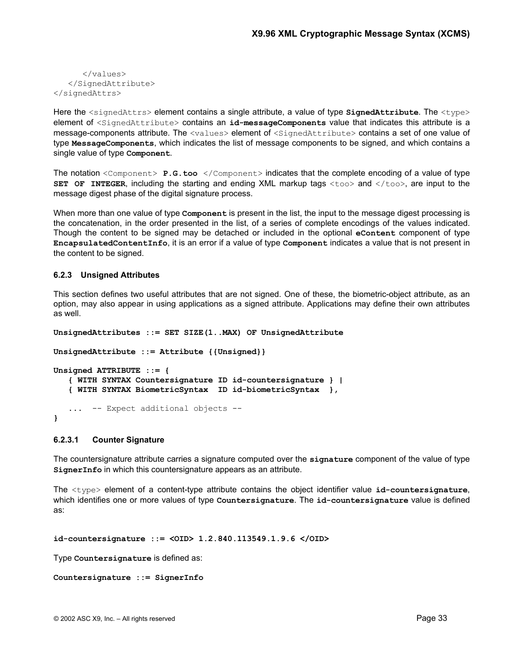```
\langle/values>
    </SignedAttribute>
</signedAttrs>
```
Here the <signedAttrs> element contains a single attribute, a value of type signedAttribute. The <type> element of <SignedAttribute> contains an **id-messageComponents** value that indicates this attribute is a message-components attribute. The <values> element of <SignedAttribute> contains a set of one value of type **MessageComponents**, which indicates the list of message components to be signed, and which contains a single value of type **Component**.

The notation <Component> **P.G.too** </Component> indicates that the complete encoding of a value of type **SET OF INTEGER**, including the starting and ending XML markup tags <too> and </too>, are input to the message digest phase of the digital signature process.

When more than one value of type **Component** is present in the list, the input to the message digest processing is the concatenation, in the order presented in the list, of a series of complete encodings of the values indicated. Though the content to be signed may be detached or included in the optional **eContent** component of type **EncapsulatedContentInfo**, it is an error if a value of type **Component** indicates a value that is not present in the content to be signed.

#### **6.2.3 Unsigned Attributes**

This section defines two useful attributes that are not signed. One of these, the biometric-object attribute, as an option, may also appear in using applications as a signed attribute. Applications may define their own attributes as well.

**UnsignedAttributes ::= SET SIZE(1..MAX) OF UnsignedAttribute UnsignedAttribute ::= Attribute {{Unsigned}} Unsigned ATTRIBUTE ::= { { WITH SYNTAX Countersignature ID id-countersignature } | { WITH SYNTAX BiometricSyntax ID id-biometricSyntax }, ...** -- Expect additional objects -- **}** 

#### **6.2.3.1 Counter Signature**

The countersignature attribute carries a signature computed over the **signature** component of the value of type **SignerInfo** in which this countersignature appears as an attribute.

The <type> element of a content-type attribute contains the object identifier value **id-countersignature**, which identifies one or more values of type **Countersignature**. The **id-countersignature** value is defined as:

**id-countersignature ::= <OID> 1.2.840.113549.1.9.6 </OID>**

Type **Countersignature** is defined as:

```
Countersignature ::= SignerInfo
```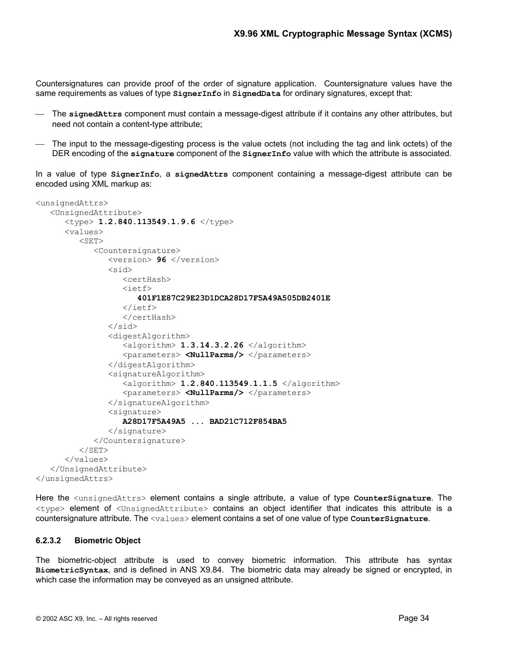Countersignatures can provide proof of the order of signature application. Countersignature values have the same requirements as values of type **SignerInfo** in **SignedData** for ordinary signatures, except that:

- The **signedAttrs** component must contain a message-digest attribute if it contains any other attributes, but need not contain a content-type attribute;
- The input to the message-digesting process is the value octets (not including the tag and link octets) of the DER encoding of the **signature** component of the **SignerInfo** value with which the attribute is associated.

In a value of type **SignerInfo**, a **signedAttrs** component containing a message-digest attribute can be encoded using XML markup as:

```
<unsignedAttrs> 
    <UnsignedAttribute> 
       <type> 1.2.840.113549.1.9.6 </type> 
       <values> 
          \langleSET>
              <Countersignature>
                 <version> 96 </version> 
                \leqsid> <certHash> 
                     <ietf> 
                        401F1E87C29E23D1DCA28D17F5A49A505DB2401E
                    \langleietf>
                     </certHash> 
                 </sid>
                 <digestAlgorithm>
                     <algorithm> 1.3.14.3.2.26 </algorithm> 
                     <parameters> <NullParms/> </parameters> 
                 </digestAlgorithm>
                 <signatureAlgorithm>
                     <algorithm> 1.2.840.113549.1.1.5 </algorithm>
                     <parameters> <NullParms/> </parameters> 
                 </signatureAlgorithm>
                 <signature>
                     A28D17F5A49A5 ... BAD21C712F854BA5
                 </signature>
              </Countersignature> 
          \langle/SET>
       </values> 
    </UnsignedAttribute>
</unsignedAttrs>
```
Here the <unsignedAttrs> element contains a single attribute, a value of type **CounterSignature**. The <type> element of <UnsignedAttribute> contains an object identifier that indicates this attribute is a countersignature attribute. The <values> element contains a set of one value of type **CounterSignature**.

#### **6.2.3.2 Biometric Object**

The biometric-object attribute is used to convey biometric information. This attribute has syntax **BiometricSyntax**, and is defined in ANS X9.84. The biometric data may already be signed or encrypted, in which case the information may be conveyed as an unsigned attribute.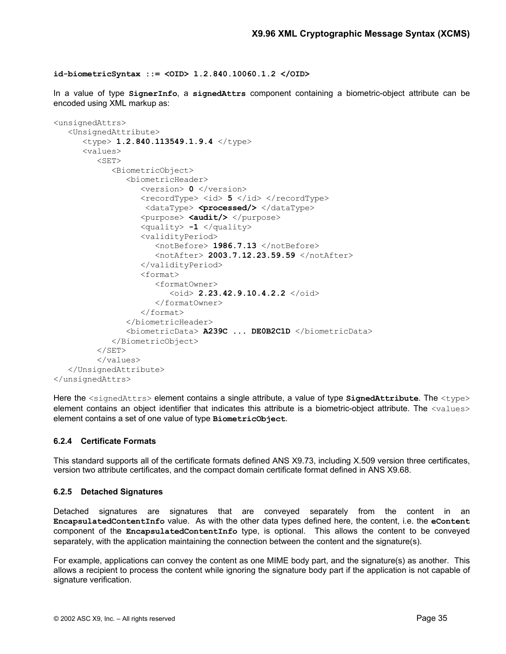<span id="page-36-0"></span>**id-biometricSyntax ::= <OID> 1.2.840.10060.1.2 </OID>** 

In a value of type **SignerInfo**, a **signedAttrs** component containing a biometric-object attribute can be encoded using XML markup as:

```
<unsignedAttrs> 
    <UnsignedAttribute> 
       <type> 1.2.840.113549.1.9.4 </type> 
       <values> 
         <SET> <BiometricObject> 
                 <biometricHeader>
                    <version> 0 </version>
                    <recordType> <id> 5 </id> </recordType> 
                    <dataType> <processed/> </dataType>
                    <purpose> <audit/> </purpose>
                    <quality> -1 </quality>
                    <validityPeriod> 
                        <notBefore> 1986.7.13 </notBefore>
                        <notAfter> 2003.7.12.23.59.59 </notAfter>
                    </validityPeriod> 
                    <format> 
                        <formatOwner>
                           <oid> 2.23.42.9.10.4.2.2 </oid>
                        </formatOwner>
                   \langle/format>
                 </biometricHeader>
                 <biometricData> A239C ... DE0B2C1D </biometricData> 
              </BiometricObject> 
         \langle/SET> </values>
    </UnsignedAttribute>
</unsignedAttrs>
```
Here the  $\langle$ signedAttrs> element contains a single attribute, a value of type signedAttribute. The  $\langle$ type> element contains an object identifier that indicates this attribute is a biometric-object attribute. The <values> element contains a set of one value of type **BiometricObject**.

#### <span id="page-36-1"></span>**6.2.4 Certificate Formats**

This standard supports all of the certificate formats defined ANS X9.73, including X.509 version three certificates, version two attribute certificates, and the compact domain certificate format defined in ANS X9.68.

#### **6.2.5 Detached Signatures**

Detached signatures are signatures that are conveyed separately from the content in an **EncapsulatedContentInfo** value. As with the other data types defined here, the content, i.e. the **eContent** component of the **EncapsulatedContentInfo** type, is optional. This allows the content to be conveyed separately, with the application maintaining the connection between the content and the signature(s).

For example, applications can convey the content as one MIME body part, and the signature(s) as another. This allows a recipient to process the content while ignoring the signature body part if the application is not capable of signature verification.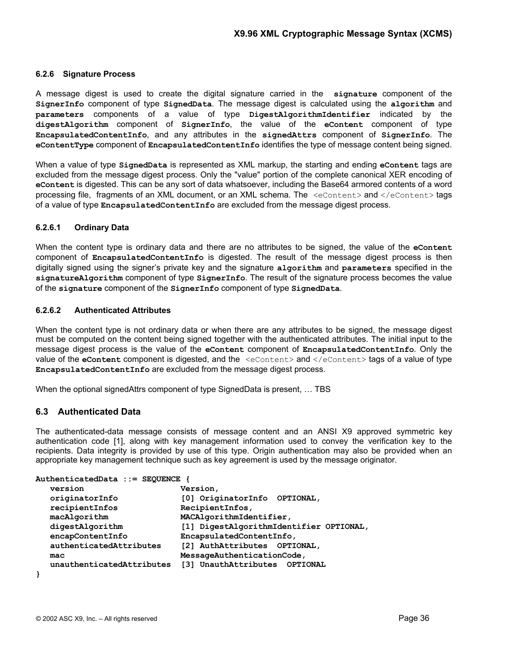#### <span id="page-37-0"></span>**6.2.6 Signature Process**

A message digest is used to create the digital signature carried in the **signature** component of the **SignerInfo** component of type **SignedData**. The message digest is calculated using the **algorithm** and **parameters** components of a value of type **DigestAlgorithmIdentifier** indicated by the **digestAlgorithm** component of **SignerInfo**, the value of the **eContent** component of type **EncapsulatedContentInfo**, and any attributes in the **signedAttrs** component of **SignerInfo**. The **eContentType** component of **EncapsulatedContentInfo** identifies the type of message content being signed.

When a value of type **SignedData** is represented as XML markup, the starting and ending **eContent** tags are excluded from the message digest process. Only the "value" portion of the complete canonical XER encoding of **eContent** is digested. This can be any sort of data whatsoever, including the Base64 armored contents of a word processing file, fragments of an XML document, or an XML schema. The <eContent> and </eContent> tags of a value of type **EncapsulatedContentInfo** are excluded from the message digest process.

#### **6.2.6.1 Ordinary Data**

When the content type is ordinary data and there are no attributes to be signed, the value of the **eContent** component of **EncapsulatedContentInfo** is digested. The result of the message digest process is then digitally signed using the signer's private key and the signature **algorithm** and **parameters** specified in the **signatureAlgorithm** component of type **SignerInfo**. The result of the signature process becomes the value of the **signature** component of the **SignerInfo** component of type **SignedData**.

#### **6.2.6.2 Authenticated Attributes**

When the content type is not ordinary data or when there are any attributes to be signed, the message digest must be computed on the content being signed together with the authenticated attributes. The initial input to the message digest process is the value of the **eContent** component of **EncapsulatedContentInfo**. Only the value of the eContent component is digested, and the <eContent> and </eContent> tags of a value of type **EncapsulatedContentInfo** are excluded from the message digest process.

When the optional signedAttrs component of type SignedData is present, … TBS

#### <span id="page-37-1"></span>**6.3 Authenticated Data**

The authenticated-data message consists of message content and an ANSI X9 approved symmetric key authentication code [1], along with key management information used to convey the verification key to the recipients. Data integrity is provided by use of this type. Origin authentication may also be provided when an appropriate key management technique such as key agreement is used by the message originator.

| AuthenticatedData ::= SEQUENCE |                                         |  |  |  |
|--------------------------------|-----------------------------------------|--|--|--|
| version                        | Version,                                |  |  |  |
| originatorInfo                 | [0] OriginatorInfo OPTIONAL,            |  |  |  |
| recipientInfos                 | RecipientInfos,                         |  |  |  |
| macAlgorithm                   | MACAlgorithmIdentifier,                 |  |  |  |
| digestAlgorithm                | [1] DigestAlgorithmIdentifier OPTIONAL, |  |  |  |
| encapContentInfo               | EncapsulatedContentInfo,                |  |  |  |
| authenticatedAttributes        | [2] AuthAttributes OPTIONAL,            |  |  |  |
| mac                            | MessageAuthenticationCode,              |  |  |  |
| unauthenticatedAttributes      | [3] UnauthAttributes<br>OPTIONAL        |  |  |  |
|                                |                                         |  |  |  |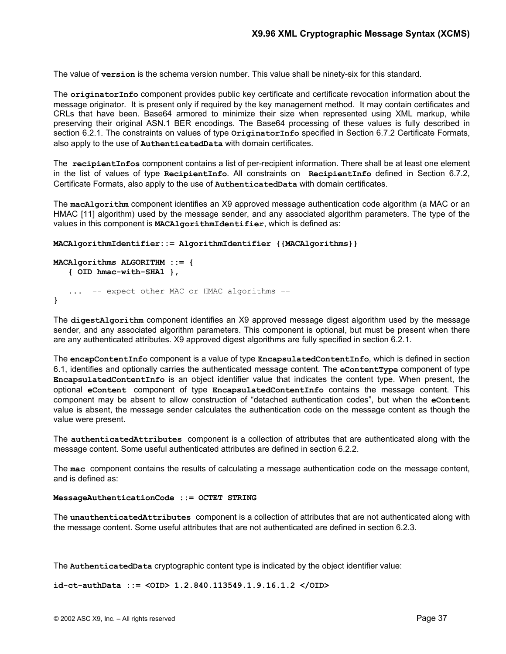The value of **version** is the schema version number. This value shall be ninety-six for this standard.

The **originatorInfo** component provides public key certificate and certificate revocation information about the message originator. It is present only if required by the key management method. It may contain certificates and CRLs that have been. Base64 armored to minimize their size when represented using XML markup, while preserving their original ASN.1 BER encodings. The Base64 processing of these values is fully described in section 6.2.1. The constraints on values of type **OriginatorInfo** specified in Section [6.7.2 Certificate Formats,](#page-46-1) also apply to the use of **AuthenticatedData** with domain certificates.

The **recipientInfos** component contains a list of per-recipient information. There shall be at least one element in the list of values of type **RecipientInfo**. All constraints on **RecipientInfo** defined in Section [6.7.2,](#page-46-1) [Certificate Formats,](#page-46-1) also apply to the use of **AuthenticatedData** with domain certificates.

The **macAlgorithm** component identifies an X9 approved message authentication code algorithm (a MAC or an HMAC [11] algorithm) used by the message sender, and any associated algorithm parameters. The type of the values in this component is **MACAlgorithmIdentifier**, which is defined as:

**MACAlgorithmIdentifier::= AlgorithmIdentifier {{MACAlgorithms}}** 

```
MACAlgorithms ALGORITHM ::= { 
    { OID hmac-with-SHA1 },
    ... -- expect other MAC or HMAC algorithms -- 
}
```
The **digestAlgorithm** component identifies an X9 approved message digest algorithm used by the message sender, and any associated algorithm parameters. This component is optional, but must be present when there are any authenticated attributes. X9 approved digest algorithms are fully specified in section 6.2.1.

The **encapContentInfo** component is a value of type **EncapsulatedContentInfo**, which is defined in section 6.1, identifies and optionally carries the authenticated message content. The **eContentType** component of type **EncapsulatedContentInfo** is an object identifier value that indicates the content type. When present, the optional **eContent** component of type **EncapsulatedContentInfo** contains the message content. This component may be absent to allow construction of "detached authentication codes", but when the **eContent** value is absent, the message sender calculates the authentication code on the message content as though the value were present.

The **authenticatedAttributes** component is a collection of attributes that are authenticated along with the message content. Some useful authenticated attributes are defined in section 6.2.2.

The **mac** component contains the results of calculating a message authentication code on the message content, and is defined as:

#### **MessageAuthenticationCode ::= OCTET STRING**

The **unauthenticatedAttributes** component is a collection of attributes that are not authenticated along with the message content. Some useful attributes that are not authenticated are defined in section 6.2.3.

The **AuthenticatedData** cryptographic content type is indicated by the object identifier value:

**id-ct-authData ::= <OID> 1.2.840.113549.1.9.16.1.2 </OID>**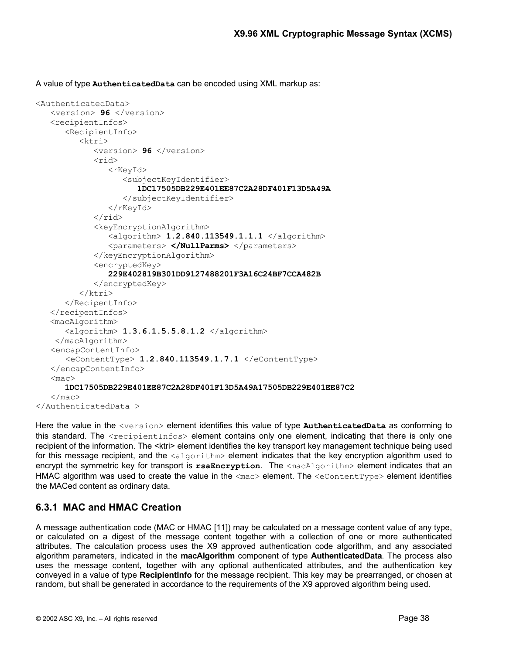<span id="page-39-0"></span>A value of type **AuthenticatedData** can be encoded using XML markup as:

```
<AuthenticatedData> 
    <version> 96 </version> 
    <recipientInfos>
       <RecipientInfo> 
         \langle k \rangle <version> 96 </version>
             <rid> <rKeyId>
                    <subjectKeyIdentifier>
                        1DC17505DB229E401EE87C2A28DF401F13D5A49A
                     </subjectKeyIdentifier> 
                 </rKeyId>
             \langlerid>
              <keyEncryptionAlgorithm> 
                 <algorithm> 1.2.840.113549.1.1.1 </algorithm>
                 <parameters> </NullParms> </parameters>
              </keyEncryptionAlgorithm> 
              <encryptedKey> 
                 229E402819B301DD9127488201F3A16C24BF7CCA482B
              </encryptedKey> 
           </ktri>
       </RecipentInfo> 
    </recipentInfos>
    <macAlgorithm>
       <algorithm> 1.3.6.1.5.5.8.1.2 </algorithm> 
     </macAlgorithm> 
   <encapContentInfo>
       <eContentType> 1.2.840.113549.1.7.1 </eContentType> 
    </encapContentInfo> 
   <mac> 1DC17505DB229E401EE87C2A28DF401F13D5A49A17505DB229E401EE87C2 
   \langle/mac\rangle</AuthenticatedData >
```
Here the value in the <version> element identifies this value of type **AuthenticatedData** as conforming to this standard. The <recipientInfos> element contains only one element, indicating that there is only one recipient of the information. The <ktri> element identifies the key transport key management technique being used for this message recipient, and the  $\langle$  algorithm> element indicates that the key encryption algorithm used to encrypt the symmetric key for transport is **rsaEncryption**. The <macAlgorithm> element indicates that an HMAC algorithm was used to create the value in the <mac> element. The <eContentType> element identifies the MACed content as ordinary data.

# **6.3.1 MAC and HMAC Creation**

A message authentication code (MAC or HMAC [11]) may be calculated on a message content value of any type, or calculated on a digest of the message content together with a collection of one or more authenticated attributes. The calculation process uses the X9 approved authentication code algorithm, and any associated algorithm parameters, indicated in the **macAlgorithm** component of type **AuthenticatedData**. The process also uses the message content, together with any optional authenticated attributes, and the authentication key conveyed in a value of type **RecipientInfo** for the message recipient. This key may be prearranged, or chosen at random, but shall be generated in accordance to the requirements of the X9 approved algorithm being used.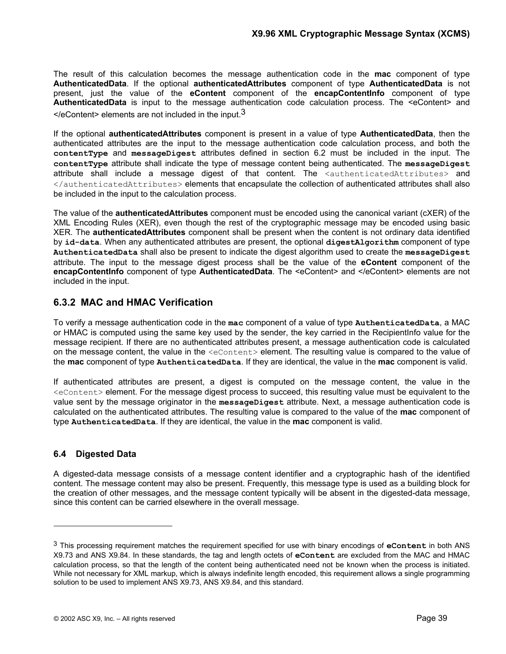<span id="page-40-0"></span>The result of this calculation becomes the message authentication code in the **mac** component of type **AuthenticatedData**. If the optional **authenticatedAttributes** component of type **AuthenticatedData** is not present, just the value of the **eContent** component of the **encapContentInfo** component of type **AuthenticatedData** is input to the message authentication code calculation process. The <eContent> and  $\le$ /eContent> elements are not included in the input.<sup>3</sup>

If the optional **authenticatedAttributes** component is present in a value of type **AuthenticatedData**, then the authenticated attributes are the input to the message authentication code calculation process, and both the **contentType** and **messageDigest** attributes defined in section 6.2 must be included in the input. The **contentType** attribute shall indicate the type of message content being authenticated. The **messageDigest** attribute shall include a message digest of that content. The <authenticatedAttributes> and </authenticatedAttributes> elements that encapsulate the collection of authenticated attributes shall also be included in the input to the calculation process.

The value of the **authenticatedAttributes** component must be encoded using the canonical variant (cXER) of the XML Encoding Rules (XER), even though the rest of the cryptographic message may be encoded using basic XER. The **authenticatedAttributes** component shall be present when the content is not ordinary data identified by **id-data**. When any authenticated attributes are present, the optional **digestAlgorithm** component of type **AuthenticatedData** shall also be present to indicate the digest algorithm used to create the **messageDigest** attribute. The input to the message digest process shall be the value of the **eContent** component of the **encapContentInfo** component of type **AuthenticatedData**. The <eContent> and </eContent> elements are not included in the input.

# **6.3.2 MAC and HMAC Verification**

To verify a message authentication code in the **mac** component of a value of type **AuthenticatedData**, a MAC or HMAC is computed using the same key used by the sender, the key carried in the RecipientInfo value for the message recipient. If there are no authenticated attributes present, a message authentication code is calculated on the message content, the value in the <eContent> element. The resulting value is compared to the value of the **mac** component of type **AuthenticatedData**. If they are identical, the value in the **mac** component is valid.

If authenticated attributes are present, a digest is computed on the message content, the value in the <eContent> element. For the message digest process to succeed, this resulting value must be equivalent to the value sent by the message originator in the **messageDigest** attribute. Next, a message authentication code is calculated on the authenticated attributes. The resulting value is compared to the value of the **mac** component of type **AuthenticatedData**. If they are identical, the value in the **mac** component is valid.

# **6.4 Digested Data**

l

A digested-data message consists of a message content identifier and a cryptographic hash of the identified content. The message content may also be present. Frequently, this message type is used as a building block for the creation of other messages, and the message content typically will be absent in the digested-data message, since this content can be carried elsewhere in the overall message.

<span id="page-40-1"></span><sup>3</sup> This processing requirement matches the requirement specified for use with binary encodings of **eContent** in both ANS X9.73 and ANS X9.84. In these standards, the tag and length octets of **eContent** are excluded from the MAC and HMAC calculation process, so that the length of the content being authenticated need not be known when the process is initiated. While not necessary for XML markup, which is always indefinite length encoded, this requirement allows a single programming solution to be used to implement ANS X9.73, ANS X9.84, and this standard.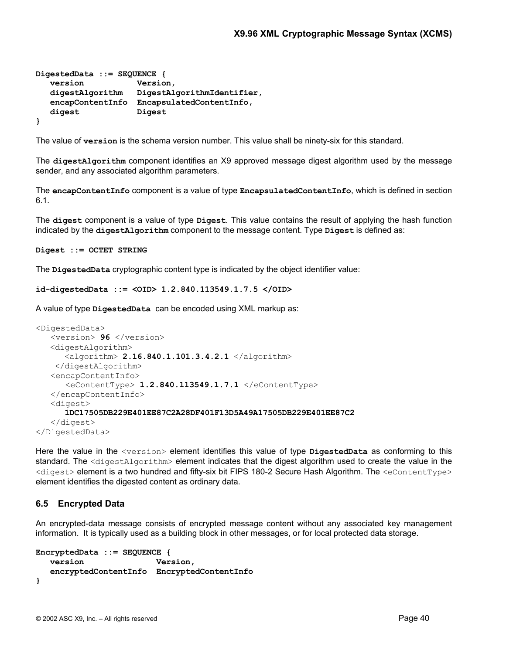```
DigestedData ::= SEQUENCE { 
   version Version,
   digestAlgorithm DigestAlgorithmIdentifier,
   encapContentInfo EncapsulatedContentInfo,
   digest Digest
}
```
The value of **version** is the schema version number. This value shall be ninety-six for this standard.

The **digestAlgorithm** component identifies an X9 approved message digest algorithm used by the message sender, and any associated algorithm parameters.

The **encapContentInfo** component is a value of type **EncapsulatedContentInfo**, which is defined in section 6.1.

The **digest** component is a value of type **Digest**. This value contains the result of applying the hash function indicated by the **digestAlgorithm** component to the message content. Type **Digest** is defined as:

**Digest ::= OCTET STRING**

The **DigestedData** cryptographic content type is indicated by the object identifier value:

```
id-digestedData ::= <OID> 1.2.840.113549.1.7.5 </OID>
```
A value of type **DigestedData** can be encoded using XML markup as:

```
<DigestedData> 
    <version> 96 </version> 
    <digestAlgorithm> 
       <algorithm> 2.16.840.1.101.3.4.2.1 </algorithm>
     </digestAlgorithm> 
   <encapContentInfo>
       <eContentType> 1.2.840.113549.1.7.1 </eContentType> 
    </encapContentInfo> 
    <digest> 
       1DC17505DB229E401EE87C2A28DF401F13D5A49A17505DB229E401EE87C2 
    </digest> 
</DigestedData>
```
Here the value in the <version> element identifies this value of type **DigestedData** as conforming to this standard. The <digestAlgorithm> element indicates that the digest algorithm used to create the value in the <digest> element is a two hundred and fifty-six bit FIPS 180-2 Secure Hash Algorithm. The <eContentType> element identifies the digested content as ordinary data.

#### **6.5 Encrypted Data**

An encrypted-data message consists of encrypted message content without any associated key management information. It is typically used as a building block in other messages, or for local protected data storage.

```
EncryptedData ::= SEQUENCE { 
   version Version,
   encryptedContentInfo EncryptedContentInfo
}
```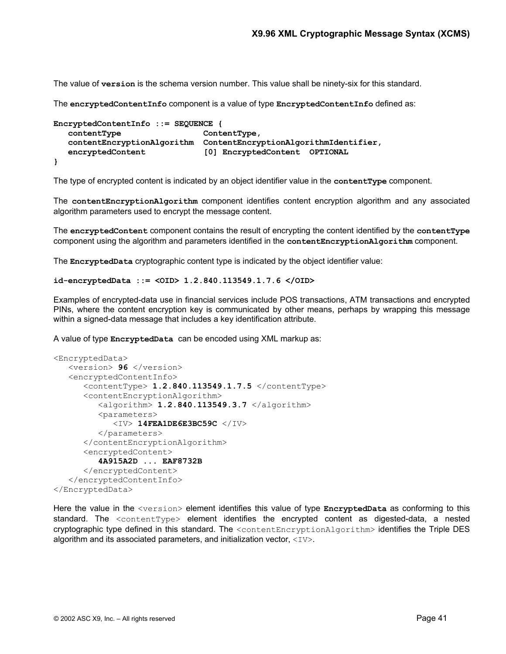The value of **version** is the schema version number. This value shall be ninety-six for this standard.

The **encryptedContentInfo** component is a value of type **EncryptedContentInfo** defined as:

```
EncryptedContentInfo ::= SEQUENCE { 
   contentType ContentType,
   contentEncryptionAlgorithm ContentEncryptionAlgorithmIdentifier,
   encryptedContent [0] EncryptedContent OPTIONAL
}
```
The type of encrypted content is indicated by an object identifier value in the **contentType** component.

The **contentEncryptionAlgorithm** component identifies content encryption algorithm and any associated algorithm parameters used to encrypt the message content.

The **encryptedContent** component contains the result of encrypting the content identified by the **contentType** component using the algorithm and parameters identified in the **contentEncryptionAlgorithm** component.

The **EncryptedData** cryptographic content type is indicated by the object identifier value:

**id-encryptedData ::= <OID> 1.2.840.113549.1.7.6 </OID>** 

Examples of encrypted-data use in financial services include POS transactions, ATM transactions and encrypted PINs, where the content encryption key is communicated by other means, perhaps by wrapping this message within a signed-data message that includes a key identification attribute.

A value of type **EncryptedData** can be encoded using XML markup as:

```
<EncryptedData> 
    <version> 96 </version> 
   <encryptedContentInfo>
       <contentType> 1.2.840.113549.1.7.5 </contentType> 
       <contentEncryptionAlgorithm> 
          <algorithm> 1.2.840.113549.3.7 </algorithm> 
         <parameters>
             <IV> 14FEA1DE6E3BC59C </IV> 
          </parameters> 
       </contentEncryptionAlgorithm> 
       <encryptedContent> 
          4A915A2D ... EAF8732B
       </encryptedContent> 
    </encryptedContentInfo> 
</EncryptedData>
```
Here the value in the <version> element identifies this value of type **EncryptedData** as conforming to this standard. The  $\leq$ contentType> element identifies the encrypted content as digested-data, a nested cryptographic type defined in this standard. The <contentEncryptionAlgorithm> identifies the Triple DES algorithm and its associated parameters, and initialization vector,  $\langle IV \rangle$ .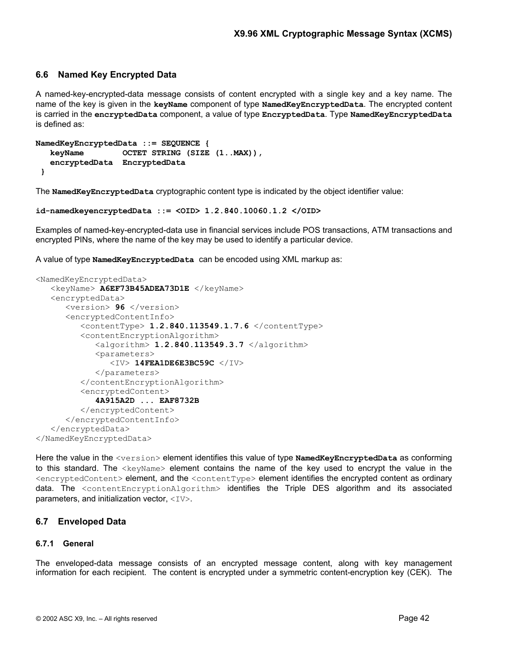## <span id="page-43-0"></span>**6.6 Named Key Encrypted Data**

A named-key-encrypted-data message consists of content encrypted with a single key and a key name. The name of the key is given in the **keyName** component of type **NamedKeyEncryptedData**. The encrypted content is carried in the **encryptedData** component, a value of type **EncryptedData**. Type **NamedKeyEncryptedData** is defined as:

```
NamedKeyEncryptedData ::= SEQUENCE { 
   keyName OCTET STRING (SIZE (1..MAX)),
   encryptedData EncryptedData
  }
```
The **NamedKeyEncryptedData** cryptographic content type is indicated by the object identifier value:

```
id-namedkeyencryptedData ::= <OID> 1.2.840.10060.1.2 </OID>
```
Examples of named-key-encrypted-data use in financial services include POS transactions, ATM transactions and encrypted PINs, where the name of the key may be used to identify a particular device.

A value of type **NamedKeyEncryptedData** can be encoded using XML markup as:

```
<NamedKeyEncryptedData> 
    <keyName> A6EF73B45ADEA73D1E </keyName> 
    <encryptedData> 
       <version> 96 </version> 
       <encryptedContentInfo> 
          <contentType> 1.2.840.113549.1.7.6 </contentType> 
          <contentEncryptionAlgorithm> 
             <algorithm> 1.2.840.113549.3.7 </algorithm> 
            <parameters>
                 <IV> 14FEA1DE6E3BC59C </IV> 
             </parameters> 
          </contentEncryptionAlgorithm> 
         <encryptedContent>
              4A915A2D ... EAF8732B
          </encryptedContent> 
       </encryptedContentInfo> 
    </encryptedData> 
</NamedKeyEncryptedData>
```
Here the value in the <version> element identifies this value of type **NamedKeyEncryptedData** as conforming to this standard. The  $\langle\text{keyName}\rangle$  element contains the name of the key used to encrypt the value in the <encryptedContent> element, and the <contentType> element identifies the encrypted content as ordinary data. The <contentEncryptionAlgorithm> identifies the Triple DES algorithm and its associated parameters, and initialization vector,  $\langle IV \rangle$ .

#### <span id="page-43-2"></span>**6.7 Enveloped Data**

#### <span id="page-43-1"></span>**6.7.1 General**

The enveloped-data message consists of an encrypted message content, along with key management information for each recipient. The content is encrypted under a symmetric content-encryption key (CEK). The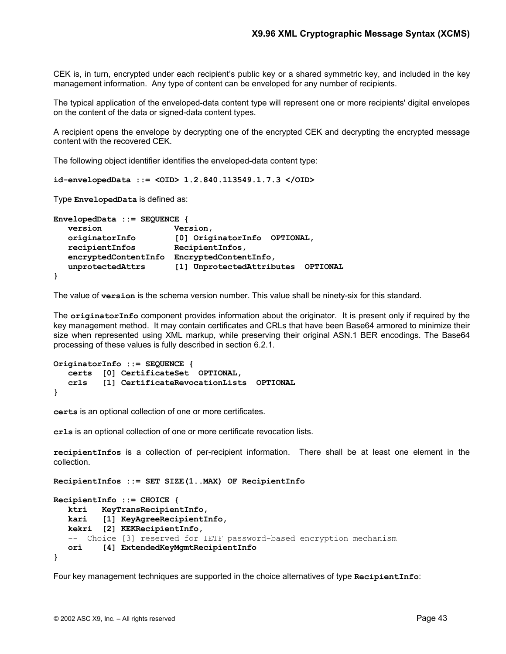CEK is, in turn, encrypted under each recipient's public key or a shared symmetric key, and included in the key management information. Any type of content can be enveloped for any number of recipients.

The typical application of the enveloped-data content type will represent one or more recipients' digital envelopes on the content of the data or signed-data content types.

A recipient opens the envelope by decrypting one of the encrypted CEK and decrypting the encrypted message content with the recovered CEK.

The following object identifier identifies the enveloped-data content type:

```
id-envelopedData ::= <OID> 1.2.840.113549.1.7.3 </OID>
```
Type **EnvelopedData** is defined as:

```
EnvelopedData ::= SEQUENCE { 
   version Version,
   originatorInfo [0] OriginatorInfo OPTIONAL,
   recipientInfos RecipientInfos, 
   encryptedContentInfo EncryptedContentInfo,
   unprotectedAttrs [1] UnprotectedAttributes OPTIONAL
}
```
The value of **version** is the schema version number. This value shall be ninety-six for this standard.

The **originatorInfo** component provides information about the originator. It is present only if required by the key management method. It may contain certificates and CRLs that have been Base64 armored to minimize their size when represented using XML markup, while preserving their original ASN.1 BER encodings. The Base64 processing of these values is fully described in section 6.2.1.

```
OriginatorInfo ::= SEQUENCE { 
    certs [0] CertificateSet OPTIONAL, 
    crls [1] CertificateRevocationLists OPTIONAL
}
```
**certs** is an optional collection of one or more certificates.

**crls** is an optional collection of one or more certificate revocation lists.

**recipientInfos** is a collection of per-recipient information. There shall be at least one element in the collection.

```
RecipientInfos ::= SET SIZE(1..MAX) OF RecipientInfo
```

```
RecipientInfo ::= CHOICE { 
    ktri KeyTransRecipientInfo, 
    kari [1] KeyAgreeRecipientInfo, 
    kekri [2] KEKRecipientInfo, 
    -- Choice [3] reserved for IETF password-based encryption mechanism 
    ori [4] ExtendedKeyMgmtRecipientInfo 
}
```
Four key management techniques are supported in the choice alternatives of type **RecipientInfo**: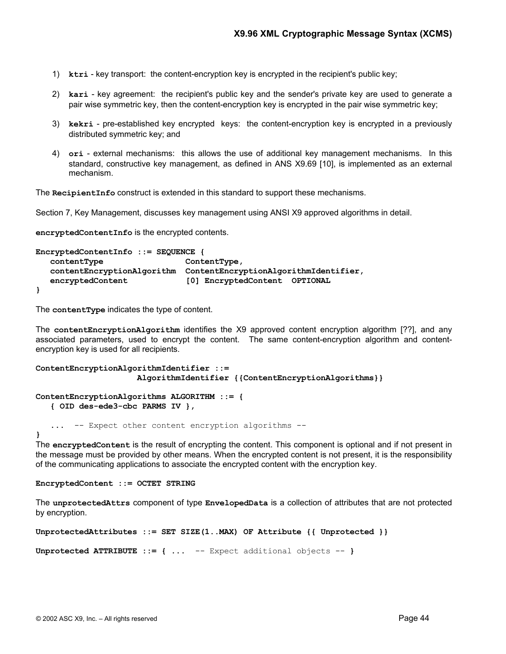- 1) **ktri** key transport: the content-encryption key is encrypted in the recipient's public key;
- 2) **kari** key agreement: the recipient's public key and the sender's private key are used to generate a pair wise symmetric key, then the content-encryption key is encrypted in the pair wise symmetric key;
- 3) **kekri** pre-established key encrypted keys: the content-encryption key is encrypted in a previously distributed symmetric key; and
- 4) **ori** external mechanisms: this allows the use of additional key management mechanisms. In this standard, constructive key management, as defined in ANS X9.69 [10], is implemented as an external mechanism.

The **RecipientInfo** construct is extended in this standard to support these mechanisms.

Section [7,](#page-46-2) [Key Management,](#page-46-2) discusses key management using ANSI X9 approved algorithms in detail.

**encryptedContentInfo** is the encrypted contents.

```
EncryptedContentInfo ::= SEQUENCE { 
   contentType ContentType,
   contentEncryptionAlgorithm ContentEncryptionAlgorithmIdentifier,
   encryptedContent [0] EncryptedContent OPTIONAL
}
```
The **contentType** indicates the type of content.

The **contentEncryptionAlgorithm** identifies the X9 approved content encryption algorithm [??], and any associated parameters, used to encrypt the content. The same content-encryption algorithm and contentencryption key is used for all recipients.

```
ContentEncryptionAlgorithmIdentifier ::= 
                      AlgorithmIdentifier {{ContentEncryptionAlgorithms}}
```

```
ContentEncryptionAlgorithms ALGORITHM ::= { 
    { OID des-ede3-cbc PARMS IV },
```

```
 ... -- Expect other content encryption algorithms --
```
**}** 

The **encryptedContent** is the result of encrypting the content. This component is optional and if not present in the message must be provided by other means. When the encrypted content is not present, it is the responsibility of the communicating applications to associate the encrypted content with the encryption key.

**EncryptedContent ::= OCTET STRING**

The **unprotectedAttrs** component of type **EnvelopedData** is a collection of attributes that are not protected by encryption.

```
UnprotectedAttributes ::= SET SIZE(1..MAX) OF Attribute {{ Unprotected }}
Unprotected ATTRIBUTE ::= { ... -- Expect additional objects -- }
```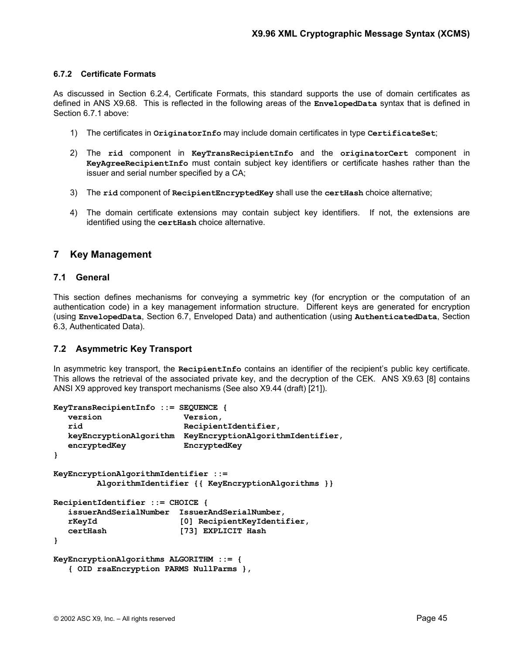#### <span id="page-46-1"></span><span id="page-46-0"></span>**6.7.2 Certificate Formats**

As discussed in Section [6.2.4,](#page-36-1) [Certificate Formats,](#page-36-1) this standard supports the use of domain certificates as defined in ANS X9.68. This is reflected in the following areas of the **EnvelopedData** syntax that is defined in Section [6.7.1 above:](#page-43-1)

- 1) The certificates in **OriginatorInfo** may include domain certificates in type **CertificateSet**;
- 2) The **rid** component in **KeyTransRecipientInfo** and the **originatorCert** component in **KeyAgreeRecipientInfo** must contain subject key identifiers or certificate hashes rather than the issuer and serial number specified by a CA;
- 3) The **rid** component of **RecipientEncryptedKey** shall use the **certHash** choice alternative;
- 4) The domain certificate extensions may contain subject key identifiers. If not, the extensions are identified using the **certHash** choice alternative.

# <span id="page-46-2"></span>**7 Key Management**

### **7.1 General**

This section defines mechanisms for conveying a symmetric key (for encryption or the computation of an authentication code) in a key management information structure. Different keys are generated for encryption (using **EnvelopedData**, Section [6.7,](#page-43-2) [Enveloped Data\)](#page-43-2) and authentication (using **AuthenticatedData**, Section [6.3, Authenticated Data\)](#page-37-1).

### **7.2 Asymmetric Key Transport**

In asymmetric key transport, the **RecipientInfo** contains an identifier of the recipient's public key certificate. This allows the retrieval of the associated private key, and the decryption of the CEK. ANS X9.63 [8] contains ANSI X9 approved key transport mechanisms (See also X9.44 (draft) [21]).

```
KeyTransRecipientInfo ::= SEQUENCE { 
   version Version,
   rid RecipientIdentifier,
   keyEncryptionAlgorithm KeyEncryptionAlgorithmIdentifier, 
   encryptedKey EncryptedKey
} 
KeyEncryptionAlgorithmIdentifier ::= 
         AlgorithmIdentifier {{ KeyEncryptionAlgorithms }} 
RecipientIdentifier ::= CHOICE { 
   issuerAndSerialNumber IssuerAndSerialNumber, 
   rKeyId [0] RecipientKeyIdentifier, 
   certHash [73] EXPLICIT Hash
} 
KeyEncryptionAlgorithms ALGORITHM ::= { 
   { OID rsaEncryption PARMS NullParms },
```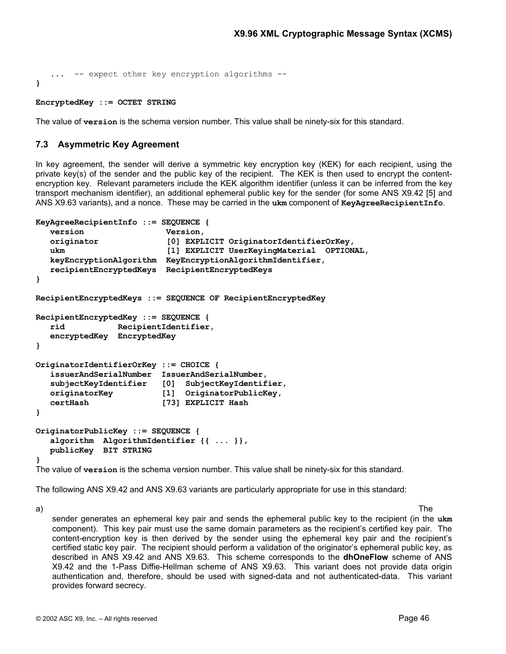```
 ... -- expect other key encryption algorithms -- 
}
```
#### **EncryptedKey ::= OCTET STRING**

The value of **version** is the schema version number. This value shall be ninety-six for this standard.

#### **7.3 Asymmetric Key Agreement**

In key agreement, the sender will derive a symmetric key encryption key (KEK) for each recipient, using the private key(s) of the sender and the public key of the recipient. The KEK is then used to encrypt the contentencryption key. Relevant parameters include the KEK algorithm identifier (unless it can be inferred from the key transport mechanism identifier), an additional ephemeral public key for the sender (for some ANS X9.42 [5] and ANS X9.63 variants), and a nonce. These may be carried in the **ukm** component of **KeyAgreeRecipientInfo**.

```
KeyAgreeRecipientInfo ::= SEQUENCE { 
   version Version,
   originator [0] EXPLICIT OriginatorIdentifierOrKey, 
   ukm [1] EXPLICIT UserKeyingMaterial OPTIONAL, 
   keyEncryptionAlgorithm KeyEncryptionAlgorithmIdentifier, 
   recipientEncryptedKeys RecipientEncryptedKeys
} 
RecipientEncryptedKeys ::= SEQUENCE OF RecipientEncryptedKey 
RecipientEncryptedKey ::= SEQUENCE { 
    rid RecipientIdentifier,
   encryptedKey EncryptedKey
} 
OriginatorIdentifierOrKey ::= CHOICE { 
    issuerAndSerialNumber IssuerAndSerialNumber, 
    subjectKeyIdentifier [0] SubjectKeyIdentifier,
   originatorKey [1] OriginatorPublicKey,
   certHash [73] EXPLICIT Hash 
} 
OriginatorPublicKey ::= SEQUENCE { 
    algorithm AlgorithmIdentifier {{ ... }}, 
   publicKey BIT STRING 
}
```
The value of **version** is the schema version number. This value shall be ninety-six for this standard.

The following ANS X9.42 and ANS X9.63 variants are particularly appropriate for use in this standard:

a) and the contract of the contract of the contract of the contract of the contract of the contract of the contract of the contract of the contract of the contract of the contract of the contract of the contract of the con sender generates an ephemeral key pair and sends the ephemeral public key to the recipient (in the **ukm** component). This key pair must use the same domain parameters as the recipient's certified key pair. The content-encryption key is then derived by the sender using the ephemeral key pair and the recipient's certified static key pair. The recipient should perform a validation of the originator's ephemeral public key, as described in ANS X9.42 and ANS X9.63. This scheme corresponds to the **dhOneFlow** scheme of ANS X9.42 and the 1-Pass Diffie-Hellman scheme of ANS X9.63. This variant does not provide data origin authentication and, therefore, should be used with signed-data and not authenticated-data. This variant provides forward secrecy.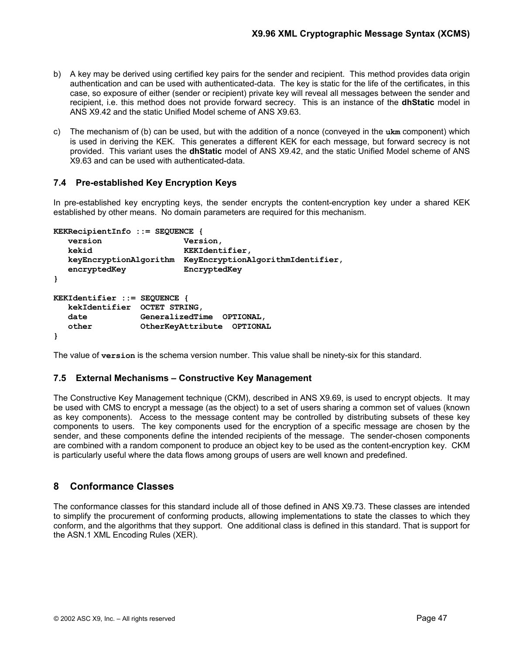- <span id="page-48-0"></span>b) A key may be derived using certified key pairs for the sender and recipient. This method provides data origin authentication and can be used with authenticated-data. The key is static for the life of the certificates, in this case, so exposure of either (sender or recipient) private key will reveal all messages between the sender and recipient, i.e. this method does not provide forward secrecy. This is an instance of the **dhStatic** model in ANS X9.42 and the static Unified Model scheme of ANS X9.63.
- c) The mechanism of (b) can be used, but with the addition of a nonce (conveyed in the **ukm** component) which is used in deriving the KEK. This generates a different KEK for each message, but forward secrecy is not provided. This variant uses the **dhStatic** model of ANS X9.42, and the static Unified Model scheme of ANS X9.63 and can be used with authenticated-data.

# **7.4 Pre-established Key Encryption Keys**

In pre-established key encrypting keys, the sender encrypts the content-encryption key under a shared KEK established by other means. No domain parameters are required for this mechanism.

```
KEKRecipientInfo ::= SEQUENCE { 
   version Version, 
   kekid KEKIdentifier,
   keyEncryptionAlgorithm KeyEncryptionAlgorithmIdentifier, 
   encryptedKey EncryptedKey
} 
KEKIdentifier ::= SEQUENCE { 
   kekIdentifier OCTET STRING,
   date GeneralizedTime OPTIONAL, 
   other OtherKeyAttribute OPTIONAL
}
```
The value of **version** is the schema version number. This value shall be ninety-six for this standard.

### **7.5 External Mechanisms – Constructive Key Management**

The Constructive Key Management technique (CKM), described in ANS X9.69, is used to encrypt objects. It may be used with CMS to encrypt a message (as the object) to a set of users sharing a common set of values (known as key components). Access to the message content may be controlled by distributing subsets of these key components to users. The key components used for the encryption of a specific message are chosen by the sender, and these components define the intended recipients of the message. The sender-chosen components are combined with a random component to produce an object key to be used as the content-encryption key. CKM is particularly useful where the data flows among groups of users are well known and predefined.

# **8 Conformance Classes**

The conformance classes for this standard include all of those defined in ANS X9.73. These classes are intended to simplify the procurement of conforming products, allowing implementations to state the classes to which they conform, and the algorithms that they support. One additional class is defined in this standard. That is support for the ASN.1 XML Encoding Rules (XER).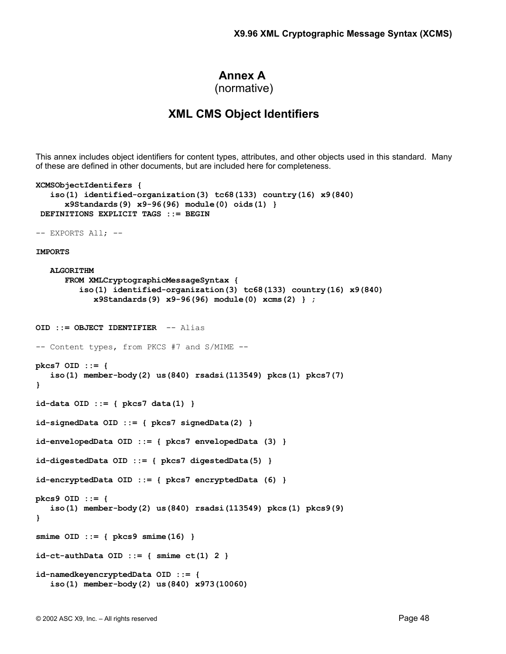# **Annex A**

(normative)

# **XML CMS Object Identifiers**

<span id="page-49-0"></span>This annex includes object identifiers for content types, attributes, and other objects used in this standard. Many of these are defined in other documents, but are included here for completeness.

```
XCMSObjectIdentifers { 
    iso(1) identified-organization(3) tc68(133) country(16) x9(840) 
       x9Standards(9) x9-96(96) module(0) oids(1) } 
 DEFINITIONS EXPLICIT TAGS ::= BEGIN
-- EXPORTS All; --
IMPORTS 
    ALGORITHM
       FROM XMLCryptographicMessageSyntax {
          iso(1) identified-organization(3) tc68(133) country(16) x9(840) 
             x9Standards(9) x9-96(96) module(0) xcms(2) } ;
OID ::= OBJECT IDENTIFIER -- Alias
-- Content types, from PKCS #7 and S/MIME --
pkcs7 OID ::= { 
    iso(1) member-body(2) us(840) rsadsi(113549) pkcs(1) pkcs7(7) 
} 
id-data OID ::= { pkcs7 data(1) } 
id-signedData OID ::= { pkcs7 signedData(2) } 
id-envelopedData OID ::= { pkcs7 envelopedData (3) }
id-digestedData OID ::= { pkcs7 digestedData(5) } 
id-encryptedData OID ::= { pkcs7 encryptedData (6) }
pkcs9 OID ::= { 
    iso(1) member-body(2) us(840) rsadsi(113549) pkcs(1) pkcs9(9) 
} 
smime OID ::= { pkcs9 smime(16) } 
id-ct-authData OID ::= { smime ct(1) 2 } 
id-namedkeyencryptedData OID ::= { 
    iso(1) member-body(2) us(840) x973(10060)
```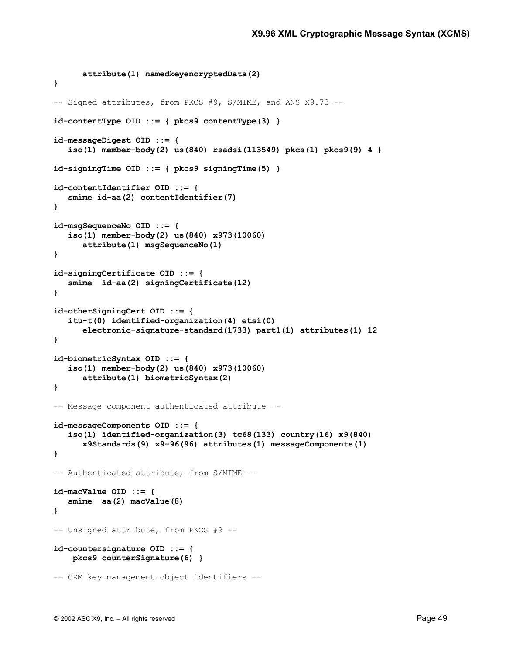```
 attribute(1) namedkeyencryptedData(2)
} 
-- Signed attributes, from PKCS #9, S/MIME, and ANS X9.73 --
id-contentType OID ::= { pkcs9 contentType(3) }
id-messageDigest OID ::= { 
    iso(1) member-body(2) us(840) rsadsi(113549) pkcs(1) pkcs9(9) 4 } 
id-signingTime OID ::= { pkcs9 signingTime(5) }
id-contentIdentifier OID ::= {
    smime id-aa(2) contentIdentifier(7) 
} 
id-msgSequenceNo OID ::= { 
    iso(1) member-body(2) us(840) x973(10060)
       attribute(1) msgSequenceNo(1)
} 
id-signingCertificate OID ::= { 
    smime id-aa(2) signingCertificate(12)
} 
id-otherSigningCert OID ::= { 
    itu-t(0) identified-organization(4) etsi(0) 
       electronic-signature-standard(1733) part1(1) attributes(1) 12
} 
id-biometricSyntax OID ::= { 
    iso(1) member-body(2) us(840) x973(10060)
       attribute(1) biometricSyntax(2)
} 
-- Message component authenticated attribute –-
id-messageComponents OID ::= {
    iso(1) identified-organization(3) tc68(133) country(16) x9(840) 
       x9Standards(9) x9-96(96) attributes(1) messageComponents(1) 
} 
-- Authenticated attribute, from S/MIME --
id-macValue OID ::= { 
    smime aa(2) macValue(8) 
} 
-- Unsigned attribute, from PKCS #9 -- 
id-countersignature OID ::= { 
     pkcs9 counterSignature(6) } 
-- CKM key management object identifiers --
```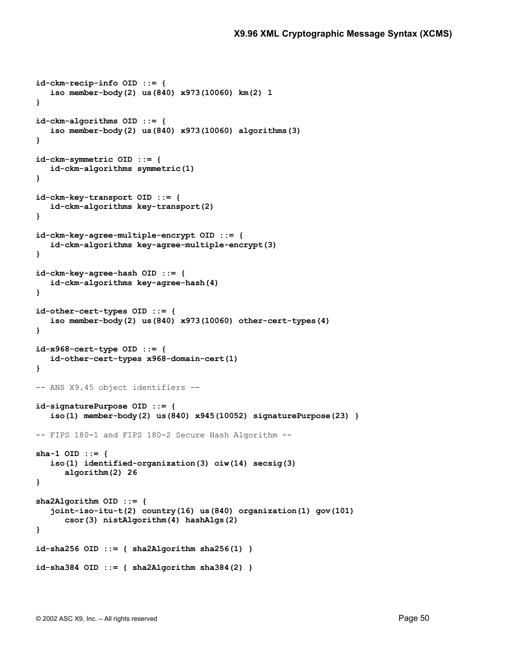```
id-ckm-recip-info OID ::= { 
    iso member-body(2) us(840) x973(10060) km(2) 1 
} 
id-ckm-algorithms OID ::= { 
    iso member-body(2) us(840) x973(10060) algorithms(3) 
} 
id-ckm-symmetric OID ::= { 
    id-ckm-algorithms symmetric(1)
} 
id-ckm-key-transport OID ::= {
    id-ckm-algorithms key-transport(2) 
} 
id-ckm-key-agree-multiple-encrypt OID ::= { 
    id-ckm-algorithms key-agree-multiple-encrypt(3) 
} 
id-ckm-key-agree-hash OID ::= { 
    id-ckm-algorithms key-agree-hash(4)
} 
id-other-cert-types OID ::= { 
    iso member-body(2) us(840) x973(10060) other-cert-types(4) 
} 
id-x968-cert-type OID ::= { 
    id-other-cert-types x968-domain-cert(1)
} 
-- ANS X9.45 object identifiers -- 
id-signaturePurpose OID ::= { 
    iso(1) member-body(2) us(840) x945(10052) signaturePurpose(23) }
-- FIPS 180-1 and FIPS 180-2 Secure Hash Algorithm --
sha-1 OID ::= { 
    iso(1) identified-organization(3) oiw(14) secsig(3) 
       algorithm(2) 26
} 
sha2Algorithm OID ::= { 
    joint-iso-itu-t(2) country(16) us(840) organization(1) gov(101) 
       csor(3) nistAlgorithm(4) hashAlgs(2) 
} 
id-sha256 OID ::= { sha2Algorithm sha256(1) } 
id-sha384 OID ::= { sha2Algorithm sha384(2) }
```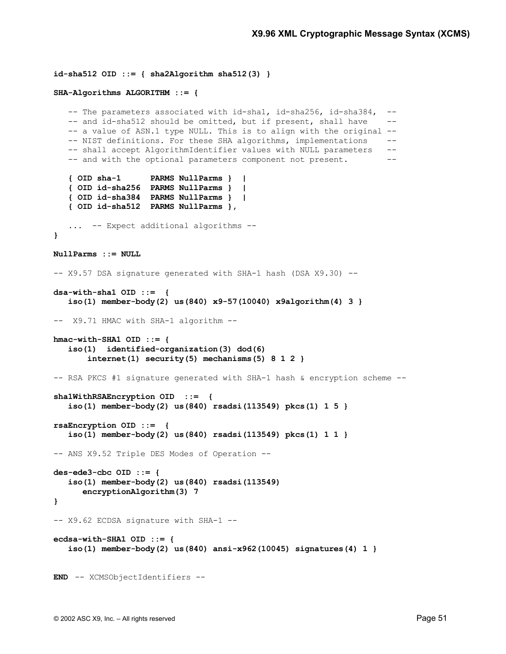```
id-sha512 OID ::= { sha2Algorithm sha512(3) }
```
#### **SHA-Algorithms ALGORITHM ::= {**

```
-- The parameters associated with id-sha1, id-sha256, id-sha384, --
   -- and id-sha512 should be omitted, but if present, shall have
    -- a value of ASN.1 type NULL. This is to align with the original --
    -- NIST definitions. For these SHA algorithms, implementations --
    -- shall accept AlgorithmIdentifier values with NULL parameters --
   -- and with the optional parameters component not present. --
    { OID sha-1 PARMS NullParms } |
    { OID id-sha256 PARMS NullParms } |
    { OID id-sha384 PARMS NullParms } |
    { OID id-sha512 PARMS NullParms }, 
    ... -- Expect additional algorithms --
} 
NullParms ::= NULL 
-- X9.57 DSA signature generated with SHA-1 hash (DSA X9.30) --
dsa-with-sha1 OID ::= { 
    iso(1) member-body(2) us(840) x9-57(10040) x9algorithm(4) 3 } 
-- X9.71 HMAC with SHA-1 algorithm -- 
hmac-with-SHA1 OID ::= { 
    iso(1) identified-organization(3) dod(6)
        internet(1) security(5) mechanisms(5) 8 1 2 }
-- RSA PKCS #1 signature generated with SHA-1 hash & encryption scheme --
sha1WithRSAEncryption OID ::= { 
    iso(1) member-body(2) us(840) rsadsi(113549) pkcs(1) 1 5 }
rsaEncryption OID ::= {
    iso(1) member-body(2) us(840) rsadsi(113549) pkcs(1) 1 1 }
-- ANS X9.52 Triple DES Modes of Operation --
des-ede3-cbc OID ::= { 
    iso(1) member-body(2) us(840) rsadsi(113549)
       encryptionAlgorithm(3) 7
} 
-- X9.62 ECDSA signature with SHA-1 --
ecdsa-with-SHA1 OID ::= { 
    iso(1) member-body(2) us(840) ansi-x962(10045) signatures(4) 1 } 
END -- XCMSObjectIdentifiers --
```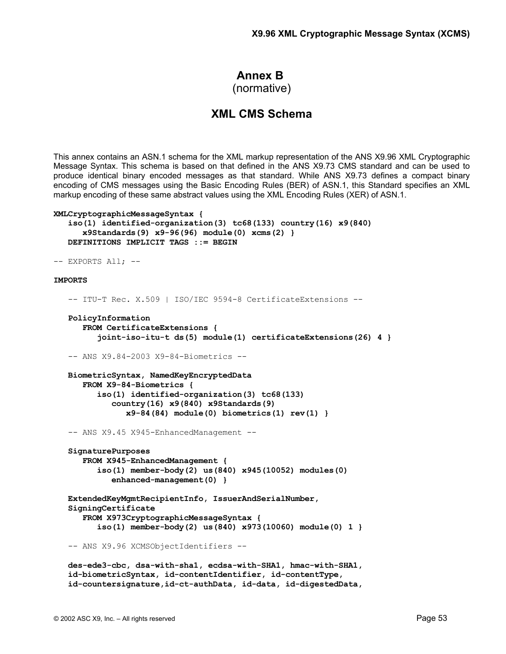# **Annex B**

(normative)

# **XML CMS Schema**

<span id="page-54-0"></span>This annex contains an ASN.1 schema for the XML markup representation of the ANS X9.96 XML Cryptographic Message Syntax. This schema is based on that defined in the ANS X9.73 CMS standard and can be used to produce identical binary encoded messages as that standard. While ANS X9.73 defines a compact binary encoding of CMS messages using the Basic Encoding Rules (BER) of ASN.1, this Standard specifies an XML markup encoding of these same abstract values using the XML Encoding Rules (XER) of ASN.1.

```
XMLCryptographicMessageSyntax { 
    iso(1) identified-organization(3) tc68(133) country(16) x9(840) 
       x9Standards(9) x9-96(96) module(0) xcms(2) } 
    DEFINITIONS IMPLICIT TAGS ::= BEGIN
-- EXPORTS All; --
IMPORTS 
    -- ITU-T Rec. X.509 | ISO/IEC 9594-8 CertificateExtensions -- 
    PolicyInformation 
       FROM CertificateExtensions { 
          joint-iso-itu-t ds(5) module(1) certificateExtensions(26) 4 } 
    -- ANS X9.84-2003 X9-84-Biometrics --
    BiometricSyntax, NamedKeyEncryptedData 
       FROM X9-84-Biometrics {
          iso(1) identified-organization(3) tc68(133) 
             country(16) x9(840) x9Standards(9) 
                x9-84(84) module(0) biometrics(1) rev(1) } 
    -- ANS X9.45 X945-EnhancedManagement -- 
    SignaturePurposes 
       FROM X945-EnhancedManagement {
          iso(1) member-body(2) us(840) x945(10052) modules(0)
             enhanced-management(0) } 
    ExtendedKeyMgmtRecipientInfo, IssuerAndSerialNumber,
    SigningCertificate
       FROM X973CryptographicMessageSyntax { 
          iso(1) member-body(2) us(840) x973(10060) module(0) 1 }
    -- ANS X9.96 XCMSObjectIdentifiers --
    des-ede3-cbc, dsa-with-sha1, ecdsa-with-SHA1, hmac-with-SHA1, 
    id-biometricSyntax, id-contentIdentifier, id-contentType, 
    id-countersignature,id-ct-authData, id-data, id-digestedData,
```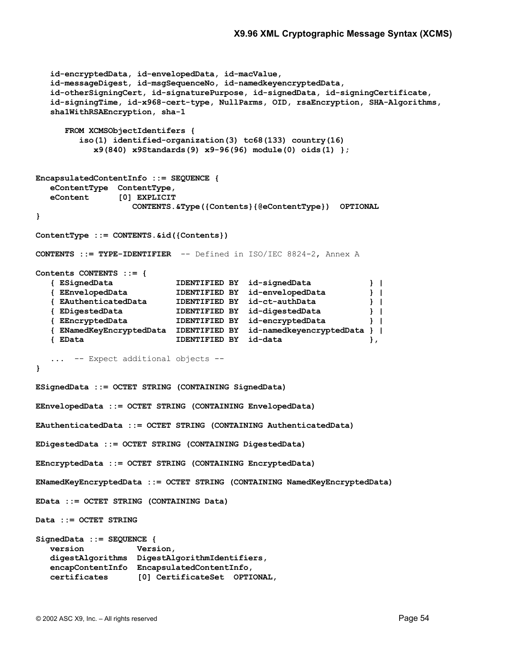```
 id-encryptedData, id-envelopedData, id-macValue, 
   id-messageDigest, id-msgSequenceNo, id-namedkeyencryptedData, 
   id-otherSigningCert, id-signaturePurpose, id-signedData, id-signingCertificate, 
    id-signingTime, id-x968-cert-type, NullParms, OID, rsaEncryption, SHA-Algorithms,
    sha1WithRSAEncryption, sha-1
      FROM XCMSObjectIdentifers {
         iso(1) identified-organization(3) tc68(133) country(16) 
            x9(840) x9Standards(9) x9-96(96) module(0) oids(1) };
EncapsulatedContentInfo ::= SEQUENCE { 
   eContentType ContentType,
   eContent [0] EXPLICIT
                    CONTENTS.&Type({Contents}{@eContentType}) OPTIONAL
} 
ContentType ::= CONTENTS.&id({Contents})
CONTENTS ::= TYPE-IDENTIFIER -- Defined in ISO/IEC 8824-2, Annex A
Contents CONTENTS ::= { 
   { ESignedData IDENTIFIED BY id-signedData } |
                           { EEnvelopedData IDENTIFIED BY id-envelopedData } |
   { EAuthenticatedData IDENTIFIED BY id-ct-authData } |
   { EDigestedData IDENTIFIED BY id-digestedData } |
                           { EEncryptedData IDENTIFIED BY id-encryptedData } |
    { ENamedKeyEncryptedData IDENTIFIED BY id-namedkeyencryptedData } |
    { EData IDENTIFIED BY id-data },
    ... -- Expect additional objects --
} 
ESignedData ::= OCTET STRING (CONTAINING SignedData) 
EEnvelopedData ::= OCTET STRING (CONTAINING EnvelopedData) 
EAuthenticatedData ::= OCTET STRING (CONTAINING AuthenticatedData) 
EDigestedData ::= OCTET STRING (CONTAINING DigestedData) 
EEncryptedData ::= OCTET STRING (CONTAINING EncryptedData) 
ENamedKeyEncryptedData ::= OCTET STRING (CONTAINING NamedKeyEncryptedData) 
EData ::= OCTET STRING (CONTAINING Data)
Data ::= OCTET STRING
SignedData ::= SEQUENCE {
   version Version,
   digestAlgorithms DigestAlgorithmIdentifiers,
   encapContentInfo EncapsulatedContentInfo,
   certificates [0] CertificateSet OPTIONAL,
```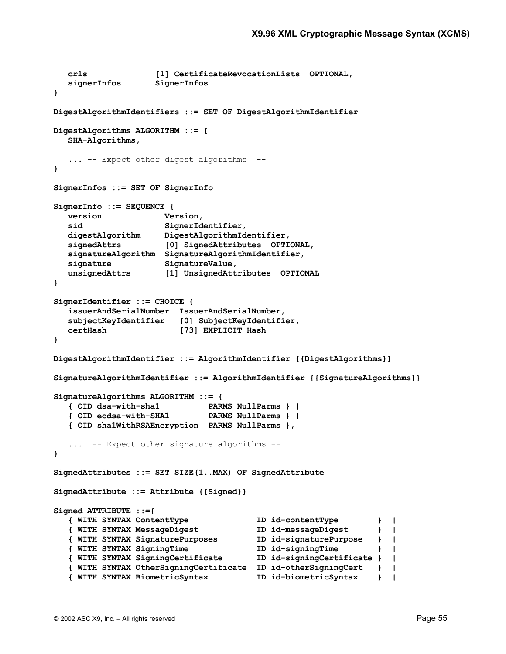```
 crls [1] CertificateRevocationLists OPTIONAL,
   signerInfos SignerInfos
} 
DigestAlgorithmIdentifiers ::= SET OF DigestAlgorithmIdentifier 
DigestAlgorithms ALGORITHM ::= { 
   SHA-Algorithms,
    ... -- Expect other digest algorithms --
} 
SignerInfos ::= SET OF SignerInfo
SignerInfo ::= SEQUENCE {
   version Version,
   sid SignerIdentifier, 
   digestAlgorithm DigestAlgorithmIdentifier,
   signedAttrs [0] SignedAttributes OPTIONAL,
   signatureAlgorithm SignatureAlgorithmIdentifier,
   signature SignatureValue,
   unsignedAttrs [1] UnsignedAttributes OPTIONAL
} 
SignerIdentifier ::= CHOICE { 
   issuerAndSerialNumber IssuerAndSerialNumber, 
   subjectKeyIdentifier [0] SubjectKeyIdentifier, 
   certHash [73] EXPLICIT Hash
} 
DigestAlgorithmIdentifier ::= AlgorithmIdentifier {{DigestAlgorithms}}
SignatureAlgorithmIdentifier ::= AlgorithmIdentifier {{SignatureAlgorithms}}
SignatureAlgorithms ALGORITHM ::= { 
   { OID dsa-with-sha1 PARMS NullParms } |
   { OID ecdsa-with-SHA1 PARMS NullParms } |
   { OID sha1WithRSAEncryption PARMS NullParms },
   ... -- Expect other signature algorithms -- 
} 
SignedAttributes ::= SET SIZE(1..MAX) OF SignedAttribute
SignedAttribute ::= Attribute {{Signed}}
Signed ATTRIBUTE ::={
   { WITH SYNTAX ContentType ID id-contentType } |
   { WITH SYNTAX MessageDigest ID id-messageDigest } |
   { WITH SYNTAX SignaturePurposes ID id-signaturePurpose } |
    { WITH SYNTAX SigningTime ID id-signingTime } |
   { WITH SYNTAX SigningCertificate ID id-signingCertificate } |
   { WITH SYNTAX OtherSigningCertificate ID id-otherSigningCert } |
    { WITH SYNTAX BiometricSyntax ID id-biometricSyntax } |
```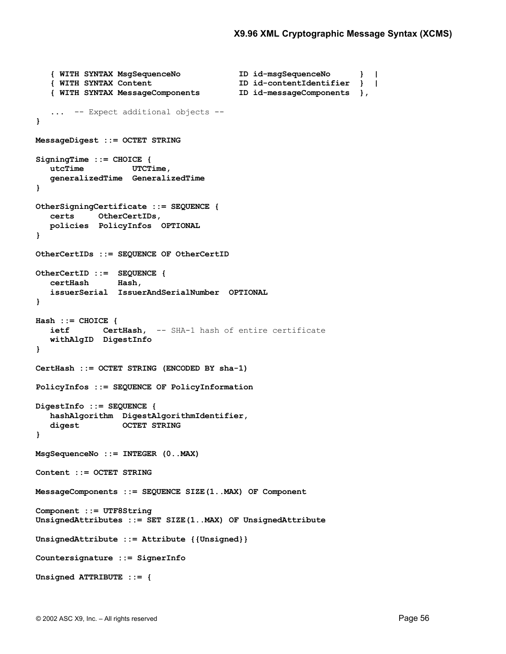```
 { WITH SYNTAX MsgSequenceNo ID id-msgSequenceNo } |
    { WITH SYNTAX Content ID id-contentIdentifier } |
    { WITH SYNTAX MessageComponents ID id-messageComponents },
    ... -- Expect additional objects --
} 
MessageDigest ::= OCTET STRING
SigningTime ::= CHOICE { 
   utcTime UTCTime, 
   generalizedTime GeneralizedTime
} 
OtherSigningCertificate ::= SEQUENCE { 
   certs OtherCertIDs,
   policies PolicyInfos OPTIONAL
} 
OtherCertIDs ::= SEQUENCE OF OtherCertID 
OtherCertID ::= SEQUENCE { 
   certHash Hash,
    issuerSerial IssuerAndSerialNumber OPTIONAL
} 
Hash ::= CHOICE {
            CertHash, -- SHA-1 hash of entire certificate
   withAlgID DigestInfo 
} 
CertHash ::= OCTET STRING (ENCODED BY sha-1) 
PolicyInfos ::= SEQUENCE OF PolicyInformation 
DigestInfo ::= SEQUENCE {
   hashAlgorithm DigestAlgorithmIdentifier, 
   digest OCTET STRING
} 
MsgSequenceNo ::= INTEGER (0..MAX) 
Content ::= OCTET STRING 
MessageComponents ::= SEQUENCE SIZE(1..MAX) OF Component
Component ::= UTF8String 
UnsignedAttributes ::= SET SIZE(1..MAX) OF UnsignedAttribute 
UnsignedAttribute ::= Attribute {{Unsigned}} 
Countersignature ::= SignerInfo
Unsigned ATTRIBUTE ::= {
```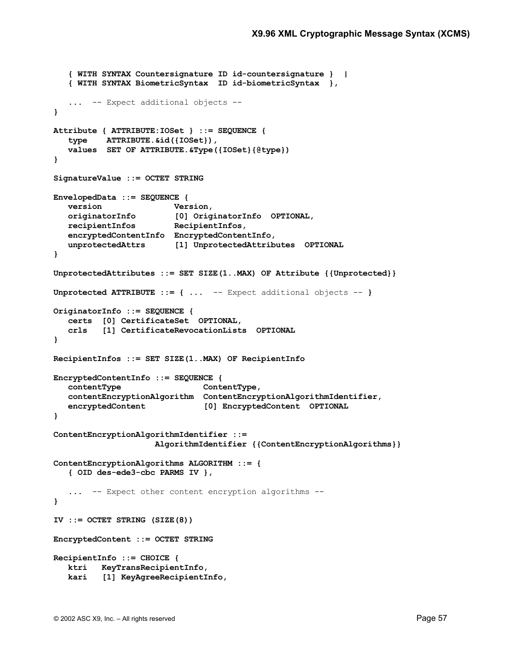```
 { WITH SYNTAX Countersignature ID id-countersignature } |
    { WITH SYNTAX BiometricSyntax ID id-biometricSyntax },
    ... -- Expect additional objects --
} 
Attribute { ATTRIBUTE:IOSet } ::= SEQUENCE { 
    type ATTRIBUTE.&id({IOSet}),
    values SET OF ATTRIBUTE.&Type({IOSet}{@type}) 
} 
SignatureValue ::= OCTET STRING
EnvelopedData ::= SEQUENCE { 
   version Version,
   originatorInfo [0] OriginatorInfo OPTIONAL,
    recipientInfos RecipientInfos, 
    encryptedContentInfo EncryptedContentInfo,
    unprotectedAttrs [1] UnprotectedAttributes OPTIONAL 
} 
UnprotectedAttributes ::= SET SIZE(1..MAX) OF Attribute {{Unprotected}} 
Unprotected ATTRIBUTE ::= { ... -- Expect additional objects -- } 
OriginatorInfo ::= SEQUENCE { 
    certs [0] CertificateSet OPTIONAL, 
    crls [1] CertificateRevocationLists OPTIONAL
} 
RecipientInfos ::= SET SIZE(1..MAX) OF RecipientInfo
EncryptedContentInfo ::= SEQUENCE { 
    contentType ContentType,
    contentEncryptionAlgorithm ContentEncryptionAlgorithmIdentifier,
    encryptedContent [0] EncryptedContent OPTIONAL
} 
ContentEncryptionAlgorithmIdentifier ::=
                     AlgorithmIdentifier {{ContentEncryptionAlgorithms}}
ContentEncryptionAlgorithms ALGORITHM ::= { 
    { OID des-ede3-cbc PARMS IV },
    ... -- Expect other content encryption algorithms --
} 
IV ::= OCTET STRING (SIZE(8))
EncryptedContent ::= OCTET STRING
RecipientInfo ::= CHOICE { 
    ktri KeyTransRecipientInfo, 
    kari [1] KeyAgreeRecipientInfo,
```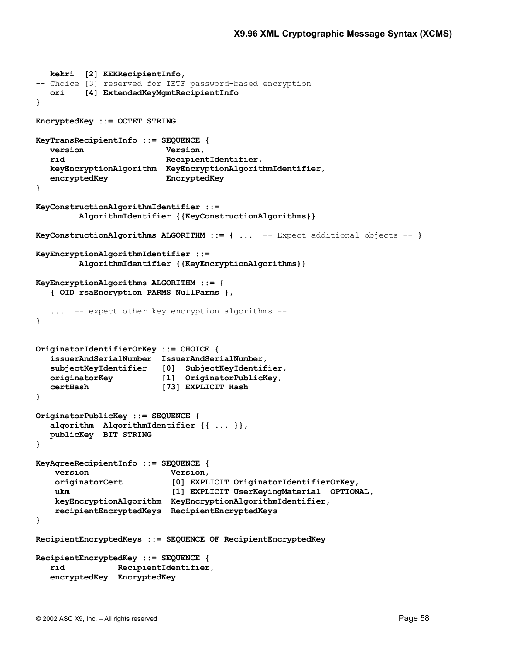```
 kekri [2] KEKRecipientInfo, 
-- Choice [3] reserved for IETF password-based encryption
   ori [4] ExtendedKeyMgmtRecipientInfo 
} 
EncryptedKey ::= OCTET STRING
KeyTransRecipientInfo ::= SEQUENCE { 
   version Version,
   rid RecipientIdentifier,
   keyEncryptionAlgorithm KeyEncryptionAlgorithmIdentifier, 
   encryptedKey EncryptedKey
} 
KeyConstructionAlgorithmIdentifier ::= 
         AlgorithmIdentifier {{KeyConstructionAlgorithms}}
KeyConstructionAlgorithms ALGORITHM ::= { ... -- Expect additional objects -- } 
KeyEncryptionAlgorithmIdentifier ::= 
         AlgorithmIdentifier {{KeyEncryptionAlgorithms}}
KeyEncryptionAlgorithms ALGORITHM ::= { 
    { OID rsaEncryption PARMS NullParms },
    ... -- expect other key encryption algorithms -- 
} 
OriginatorIdentifierOrKey ::= CHOICE { 
   issuerAndSerialNumber IssuerAndSerialNumber, 
   subjectKeyIdentifier [0] SubjectKeyIdentifier,
   originatorKey [1] OriginatorPublicKey,
   certHash [73] EXPLICIT Hash 
} 
OriginatorPublicKey ::= SEQUENCE { 
   algorithm AlgorithmIdentifier {{ ... }}, 
   publicKey BIT STRING 
} 
KeyAgreeRecipientInfo ::= SEQUENCE { 
    version Version, 
    originatorCert [0] EXPLICIT OriginatorIdentifierOrKey,
    ukm [1] EXPLICIT UserKeyingMaterial OPTIONAL, 
    keyEncryptionAlgorithm KeyEncryptionAlgorithmIdentifier, 
    recipientEncryptedKeys RecipientEncryptedKeys
} 
RecipientEncryptedKeys ::= SEQUENCE OF RecipientEncryptedKey 
RecipientEncryptedKey ::= SEQUENCE { 
   rid RecipientIdentifier,
   encryptedKey EncryptedKey
```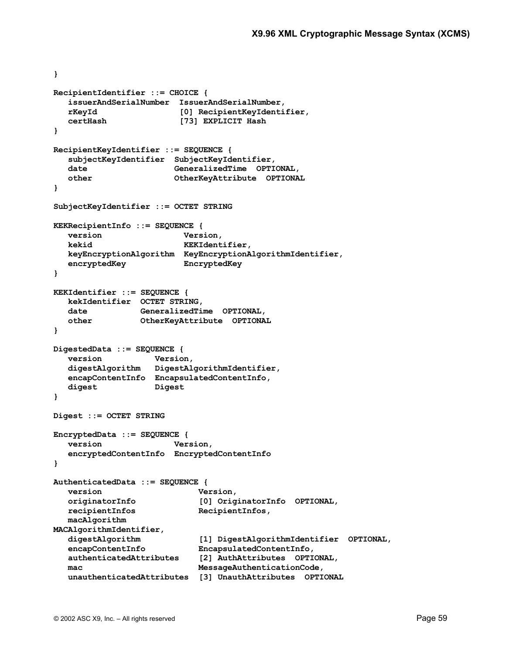```
} 
RecipientIdentifier ::= CHOICE { 
   issuerAndSerialNumber IssuerAndSerialNumber, 
  rKeyId [0] RecipientKeyIdentifier,
   certHash [73] EXPLICIT Hash
} 
RecipientKeyIdentifier ::= SEQUENCE { 
   subjectKeyIdentifier SubjectKeyIdentifier,
  date GeneralizedTime OPTIONAL,
   other OtherKeyAttribute OPTIONAL
} 
SubjectKeyIdentifier ::= OCTET STRING
KEKRecipientInfo ::= SEQUENCE { 
   version Version,
   kekid KEKIdentifier,
   keyEncryptionAlgorithm KeyEncryptionAlgorithmIdentifier, 
   encryptedKey EncryptedKey
} 
KEKIdentifier ::= SEQUENCE { 
   kekIdentifier OCTET STRING,
   date GeneralizedTime OPTIONAL, 
   other OtherKeyAttribute OPTIONAL
} 
DigestedData ::= SEQUENCE { 
   version Version,
   digestAlgorithm DigestAlgorithmIdentifier,
   encapContentInfo EncapsulatedContentInfo,
   digest Digest
} 
Digest ::= OCTET STRING
EncryptedData ::= SEQUENCE { 
   version Version,
   encryptedContentInfo EncryptedContentInfo
} 
AuthenticatedData ::= SEQUENCE { 
   version Version, 
   originatorInfo [0] OriginatorInfo OPTIONAL, 
   recipientInfos RecipientInfos, 
   macAlgorithm 
MACAlgorithmIdentifier, 
   digestAlgorithm [1] DigestAlgorithmIdentifier OPTIONAL,
   encapContentInfo EncapsulatedContentInfo, 
   authenticatedAttributes [2] AuthAttributes OPTIONAL, 
   mac MessageAuthenticationCode, 
   unauthenticatedAttributes [3] UnauthAttributes OPTIONAL
```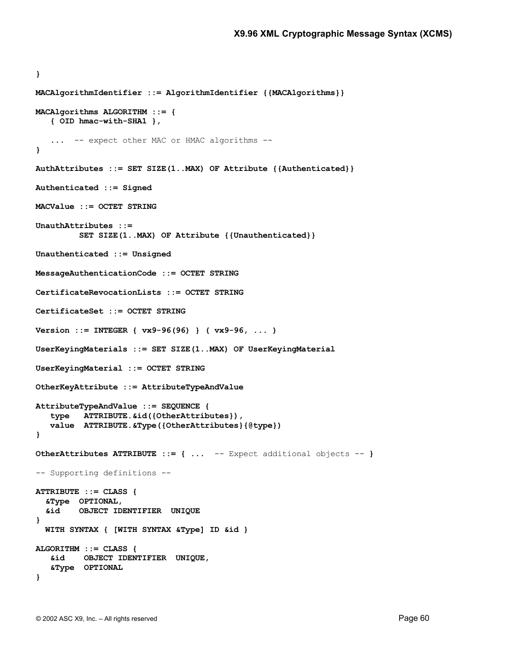```
} 
MACAlgorithmIdentifier ::= AlgorithmIdentifier {{MACAlgorithms}}
MACAlgorithms ALGORITHM ::= { 
    { OID hmac-with-SHA1 },
    ... -- expect other MAC or HMAC algorithms -- 
} 
AuthAttributes ::= SET SIZE(1..MAX) OF Attribute {{Authenticated}}
Authenticated ::= Signed 
MACValue ::= OCTET STRING
UnauthAttributes ::= 
          SET SIZE(1..MAX) OF Attribute {{Unauthenticated}}
Unauthenticated ::= Unsigned 
MessageAuthenticationCode ::= OCTET STRING 
CertificateRevocationLists ::= OCTET STRING 
CertificateSet ::= OCTET STRING 
Version ::= INTEGER { vx9-96(96) } ( vx9-96, ... )
UserKeyingMaterials ::= SET SIZE(1..MAX) OF UserKeyingMaterial 
UserKeyingMaterial ::= OCTET STRING
OtherKeyAttribute ::= AttributeTypeAndValue 
AttributeTypeAndValue ::= SEQUENCE { 
    type ATTRIBUTE.&id({OtherAttributes}), 
    value ATTRIBUTE.&Type({OtherAttributes}{@type}) 
} 
OtherAttributes ATTRIBUTE ::= { ... -- Expect additional objects -- } 
-- Supporting definitions -- 
ATTRIBUTE ::= CLASS { 
   &Type OPTIONAL, 
   &id OBJECT IDENTIFIER UNIQUE 
} 
   WITH SYNTAX { [WITH SYNTAX &Type] ID &id } 
ALGORITHM ::= CLASS { 
    &id OBJECT IDENTIFIER UNIQUE,
    &Type OPTIONAL 
}
```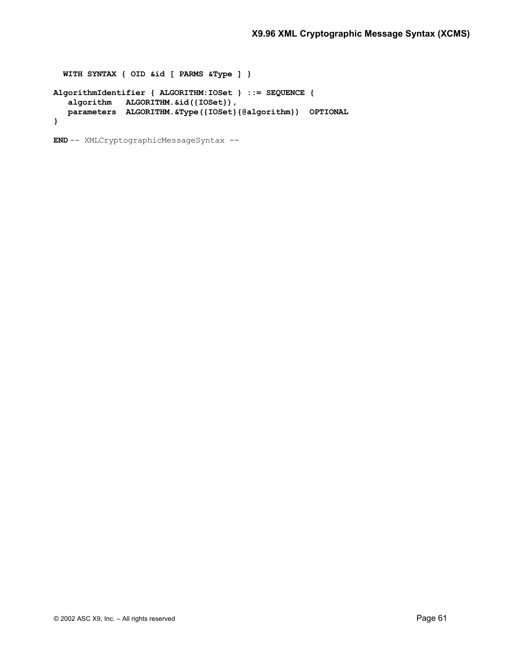```
 WITH SYNTAX { OID &id [ PARMS &Type ] } 
AlgorithmIdentifier { ALGORITHM:IOSet } ::= SEQUENCE { 
    algorithm ALGORITHM.&id({IOSet}),
    parameters ALGORITHM.&Type({IOSet}{@algorithm}) OPTIONAL
}
```

```
END -- XMLCryptographicMessageSyntax --
```